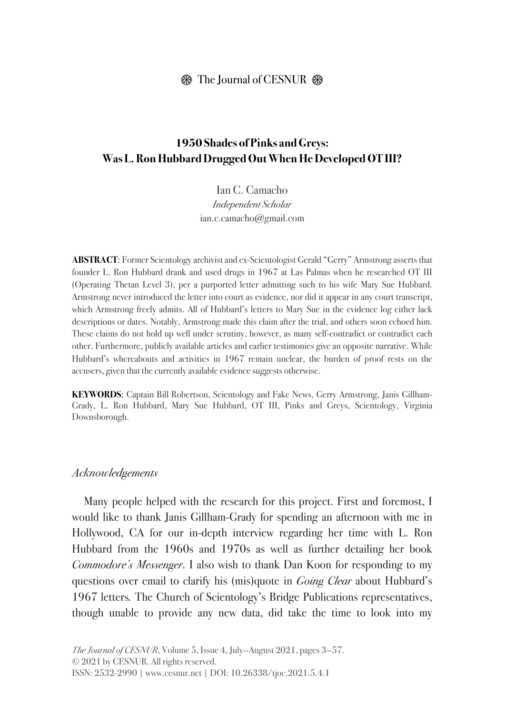### $\circledast$  The Journal of CESNUR  $\circledast$

## **1950 Shades of Pinks and Greys: Was L. Ron Hubbard Drugged Out When He Developed OT III?**

Ian C. Camacho *Independent Scholar* ian.c.camacho@gmail.com

**ABSTRACT**: Former Scientology archivist and ex-Scientologist Gerald "Gerry" Armstrong asserts that founder L. Ron Hubbard drank and used drugs in 1967 at Las Palmas when he researched OT III (Operating Thetan Level 3), per a purported letter admitting such to his wife Mary Sue Hubbard. Armstrong never introduced the letter into court as evidence, nor did it appear in any court transcript, which Armstrong freely admits. All of Hubbard's letters to Mary Sue in the evidence log either lack descriptions or dates. Notably, Armstrong made this claim after the trial, and others soon echoed him. These claims do not hold up well under scrutiny, however, as many self-contradict or contradict each other. Furthermore, publicly available articles and earlier testimonies give an opposite narrative. While Hubbard's whereabouts and activities in 1967 remain unclear, the burden of proof rests on the accusers, given that the currently available evidence suggests otherwise.

**KEYWORDS**: Captain Bill Robertson, Scientology and Fake News, Gerry Armstrong, Janis Gillham-Grady, L. Ron Hubbard, Mary Sue Hubbard, OT III, Pinks and Greys, Scientology, Virginia Downsborough.

#### *Acknowledgements*

Many people helped with the research for this project. First and foremost, I would like to thank Janis Gillham-Grady for spending an afternoon with me in Hollywood, CA for our in-depth interview regarding her time with L. Ron Hubbard from the 1960s and 1970s as well as further detailing her book *Commodore's Messenger*. I also wish to thank Dan Koon for responding to my questions over email to clarify his (mis)quote in *Going Clear* about Hubbard's 1967 letters*.* The Church of Scientology's Bridge Publications representatives, though unable to provide any new data, did take the time to look into my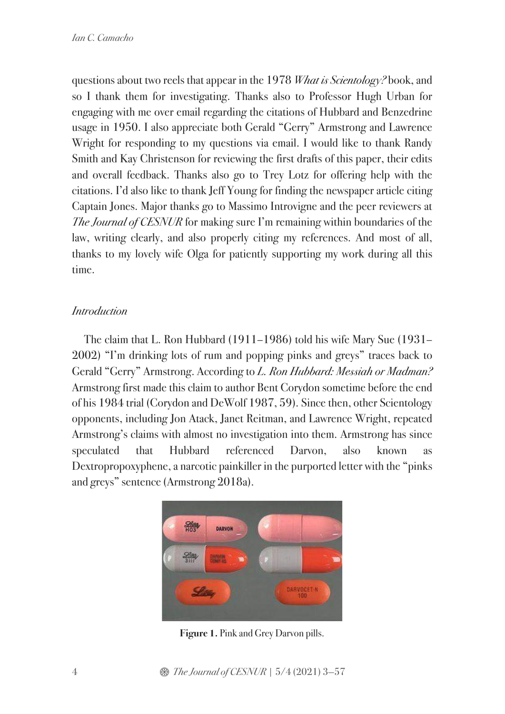questions about two reels that appear in the 1978 *What is Scientology?* book, and so I thank them for investigating. Thanks also to Professor Hugh Urban for engaging with me over email regarding the citations of Hubbard and Benzedrine usage in 1950. I also appreciate both Gerald "Gerry" Armstrong and Lawrence Wright for responding to my questions via email. I would like to thank Randy Smith and Kay Christenson for reviewing the first drafts of this paper, their edits and overall feedback. Thanks also go to Trey Lotz for offering help with the citations. I'd also like to thank Jeff Young for finding the newspaper article citing Captain Jones. Major thanks go to Massimo Introvigne and the peer reviewers at *The Journal of CESNUR* for making sure I'm remaining within boundaries of the law, writing clearly, and also properly citing my references. And most of all, thanks to my lovely wife Olga for patiently supporting my work during all this time.

## *Introduction*

The claim that L. Ron Hubbard (1911–1986) told his wife Mary Sue (1931– 2002) "I'm drinking lots of rum and popping pinks and greys" traces back to Gerald "Gerry" Armstrong. According to *L. Ron Hubbard: Messiah or Madman?* Armstrong first made this claim to author Bent Corydon sometime before the end of his 1984 trial (Corydon and DeWolf 1987, 59). Since then, other Scientology opponents, including Jon Atack, Janet Reitman, and Lawrence Wright, repeated Armstrong's claims with almost no investigation into them. Armstrong has since speculated that Hubbard referenced Darvon, also known as Dextropropoxyphene, a narcotic painkiller in the purported letter with the "pinks and greys" sentence (Armstrong 2018a).



**Figure 1.** Pink and Grey Darvon pills.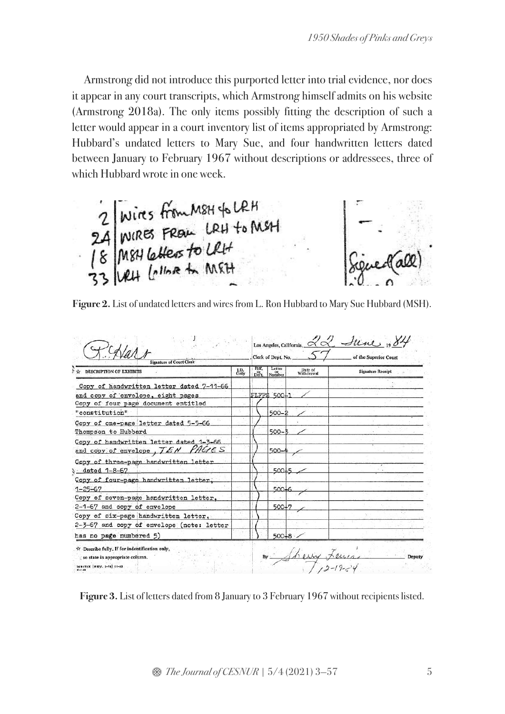Armstrong did not introduce this purported letter into trial evidence, nor does it appear in any court transcripts, which Armstrong himself admits on his website (Armstrong 2018a). The only items possibly fitting the description of such a letter would appear in a court inventory list of items appropriated by Armstrong: Hubbard's undated letters to Mary Sue, and four handwritten letters dated between January to February 1967 without descriptions or addressees, three of which Hubbard wrote in one week.

2 WIRS From MSH 46 LRH<br>24 WIRES FROM LRH to MSH<br>18 MSH Letters to LRH<br>33 WRH Lollor to MSH  $\frac{1}{\int_{0}^{1} f(x) dx}$ 

**Figure 2.** List of undated letters and wires from L. Ron Hubbard to Mary Sue Hubbard (MSH).

| <b>DESCRIPTION OF EXHIBITS</b>                                                           | $_{\text{Only}}^{\text{I.D.}}$ | Piff.<br>$\mathrm{Def}$ | Letter<br>Number | Date of<br>Withdrawal | <b>Signature Receipt</b> |
|------------------------------------------------------------------------------------------|--------------------------------|-------------------------|------------------|-----------------------|--------------------------|
| Copy of handwritten letter dated 7-11-66                                                 |                                |                         |                  |                       |                          |
| and copy of envelope, eight pages                                                        |                                |                         | PLFF\$ 500+1     |                       |                          |
| Copy of four page document entitled<br>"constitution"                                    |                                |                         | $500 - 2$        |                       |                          |
| Copy of one-page letter dated 5-5-66                                                     |                                |                         |                  |                       |                          |
| Thompson to Hubbard                                                                      |                                |                         | $500 - 8$        |                       |                          |
| Copy of handwritten letter dated 1-3-66.<br>GES<br>and copy of envelope, $\mathcal{TEM}$ |                                |                         | $500 - 4$        |                       |                          |
| Copy of three-page handwritten letter<br>& dated 1-8-67                                  |                                |                         | 500+5            |                       |                          |
| Copy of four-page handwritten letter.<br>$1 - 25 - 67$                                   |                                |                         | 500+             |                       |                          |
| Copy of seven-page handwritten letter.                                                   |                                |                         |                  |                       |                          |
| 2-1-67 and copy of envelope                                                              |                                |                         | 500+             |                       |                          |
| Copy of six-page handwritten letter,                                                     |                                |                         |                  |                       |                          |
| 2-3-67 and copy of envelope (note: letter                                                |                                |                         |                  |                       |                          |
| has no page numbered 5)                                                                  |                                |                         | $500 + 8$        |                       |                          |

**Figure 3.** List of letters dated from 8 January to 3 February 1967 without recipients listed.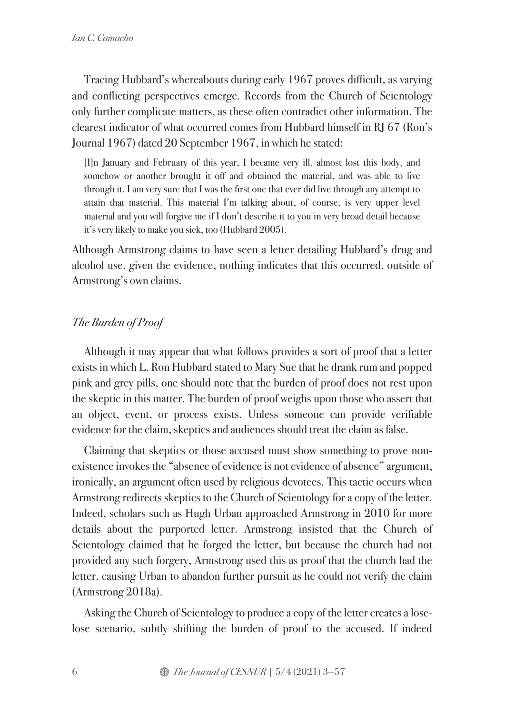Tracing Hubbard's whereabouts during early 1967 proves difficult, as varying and conflicting perspectives emerge. Records from the Church of Scientology only further complicate matters, as these often contradict other information. The clearest indicator of what occurred comes from Hubbard himself in RJ 67 (Ron's Journal 1967) dated 20 September 1967, in which he stated:

[I]n January and February of this year, I became very ill, almost lost this body, and somehow or another brought it off and obtained the material, and was able to live through it. I am very sure that I was the first one that ever did live through any attempt to attain that material. This material I'm talking about, of course, is very upper level material and you will forgive me if I don't describe it to you in very broad detail because it's very likely to make you sick, too (Hubbard 2005).

Although Armstrong claims to have seen a letter detailing Hubbard's drug and alcohol use, given the evidence, nothing indicates that this occurred, outside of Armstrong's own claims.

# *The Burden of Proof*

Although it may appear that what follows provides a sort of proof that a letter exists in which L. Ron Hubbard stated to Mary Sue that he drank rum and popped pink and grey pills, one should note that the burden of proof does not rest upon the skeptic in this matter. The burden of proof weighs upon those who assert that an object, event, or process exists. Unless someone can provide verifiable evidence for the claim, skeptics and audiences should treat the claim as false.

Claiming that skeptics or those accused must show something to prove nonexistence invokes the "absence of evidence is not evidence of absence" argument, ironically, an argument often used by religious devotees. This tactic occurs when Armstrong redirects skeptics to the Church of Scientology for a copy of the letter. Indeed, scholars such as Hugh Urban approached Armstrong in 2010 for more details about the purported letter. Armstrong insisted that the Church of Scientology claimed that he forged the letter, but because the church had not provided any such forgery, Armstrong used this as proof that the church had the letter, causing Urban to abandon further pursuit as he could not verify the claim (Armstrong 2018a).

Asking the Church of Scientology to produce a copy of the letter creates a loselose scenario, subtly shifting the burden of proof to the accused. If indeed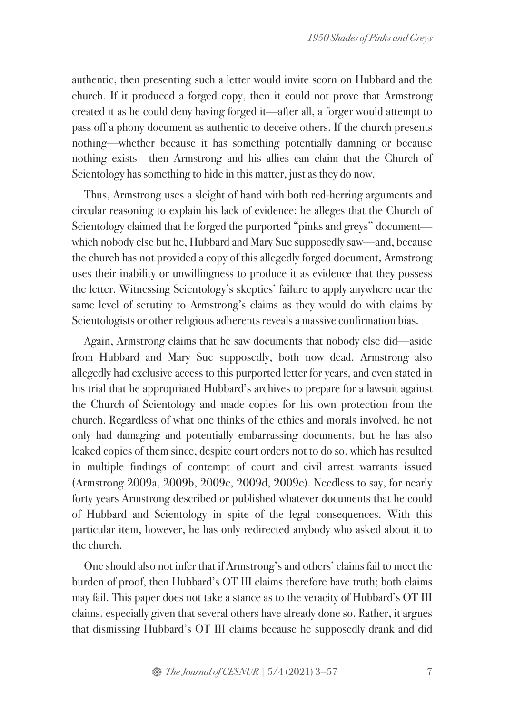authentic, then presenting such a letter would invite scorn on Hubbard and the church. If it produced a forged copy, then it could not prove that Armstrong created it as he could deny having forged it—after all, a forger would attempt to pass off a phony document as authentic to deceive others. If the church presents nothing—whether because it has something potentially damning or because nothing exists—then Armstrong and his allies can claim that the Church of Scientology has something to hide in this matter, just as they do now.

Thus, Armstrong uses a sleight of hand with both red-herring arguments and circular reasoning to explain his lack of evidence: he alleges that the Church of Scientology claimed that he forged the purported "pinks and greys" document which nobody else but he, Hubbard and Mary Sue supposedly saw—and, because the church has not provided a copy of this allegedly forged document, Armstrong uses their inability or unwillingness to produce it as evidence that they possess the letter. Witnessing Scientology's skeptics' failure to apply anywhere near the same level of scrutiny to Armstrong's claims as they would do with claims by Scientologists or other religious adherents reveals a massive confirmation bias.

Again, Armstrong claims that he saw documents that nobody else did—aside from Hubbard and Mary Sue supposedly, both now dead. Armstrong also allegedly had exclusive access to this purported letter for years, and even stated in his trial that he appropriated Hubbard's archives to prepare for a lawsuit against the Church of Scientology and made copies for his own protection from the church. Regardless of what one thinks of the ethics and morals involved, he not only had damaging and potentially embarrassing documents, but he has also leaked copies of them since, despite court orders not to do so, which has resulted in multiple findings of contempt of court and civil arrest warrants issued (Armstrong 2009a, 2009b, 2009c, 2009d, 2009e). Needless to say, for nearly forty years Armstrong described or published whatever documents that he could of Hubbard and Scientology in spite of the legal consequences. With this particular item, however, he has only redirected anybody who asked about it to the church.

One should also not infer that if Armstrong's and others' claims fail to meet the burden of proof, then Hubbard's OT III claims therefore have truth; both claims may fail. This paper does not take a stance as to the veracity of Hubbard's OT III claims, especially given that several others have already done so. Rather, it argues that dismissing Hubbard's OT III claims because he supposedly drank and did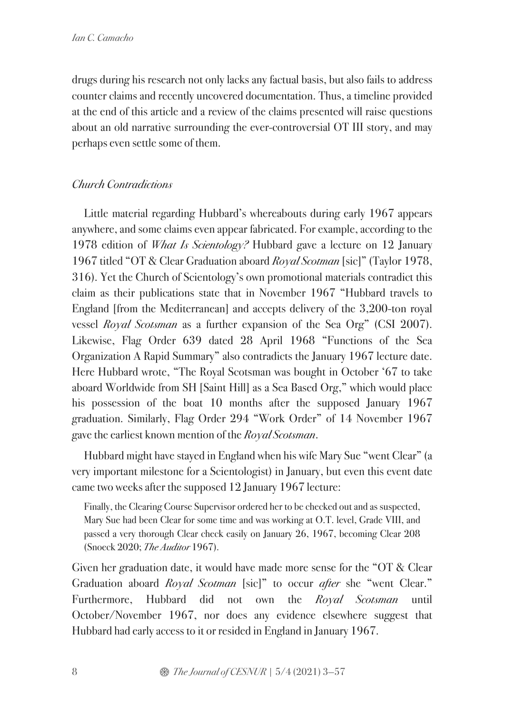drugs during his research not only lacks any factual basis, but also fails to address counter claims and recently uncovered documentation. Thus, a timeline provided at the end of this article and a review of the claims presented will raise questions about an old narrative surrounding the ever-controversial OT III story, and may perhaps even settle some of them.

## *Church Contradictions*

Little material regarding Hubbard's whereabouts during early 1967 appears anywhere, and some claims even appear fabricated. For example, according to the 1978 edition of *What Is Scientology?* Hubbard gave a lecture on 12 January 1967 titled "OT & Clear Graduation aboard *Royal Scotman* [sic]" (Taylor 1978, 316). Yet the Church of Scientology's own promotional materials contradict this claim as their publications state that in November 1967 "Hubbard travels to England [from the Mediterranean] and accepts delivery of the 3,200-ton royal vessel *Royal Scotsman* as a further expansion of the Sea Org" (CSI 2007). Likewise, Flag Order 639 dated 28 April 1968 "Functions of the Sea Organization A Rapid Summary" also contradicts the January 1967 lecture date. Here Hubbard wrote, "The Royal Scotsman was bought in October '67 to take aboard Worldwide from SH [Saint Hill] as a Sea Based Org," which would place his possession of the boat 10 months after the supposed January 1967 graduation. Similarly, Flag Order 294 "Work Order" of 14 November 1967 gave the earliest known mention of the *Royal Scotsman*.

Hubbard might have stayed in England when his wife Mary Sue "went Clear" (a very important milestone for a Scientologist) in January, but even this event date came two weeks after the supposed 12 January 1967 lecture:

Finally, the Clearing Course Supervisor ordered her to be checked out and as suspected, Mary Sue had been Clear for some time and was working at O.T. level, Grade VIII, and passed a very thorough Clear check easily on January 26, 1967, becoming Clear 208 (Snoeck 2020; *The Auditor* 1967).

Given her graduation date, it would have made more sense for the "OT & Clear Graduation aboard *Royal Scotman* [sic]" to occur *after* she "went Clear." Furthermore, Hubbard did not own the *Royal Scotsman* until October/November 1967, nor does any evidence elsewhere suggest that Hubbard had early access to it or resided in England in January 1967.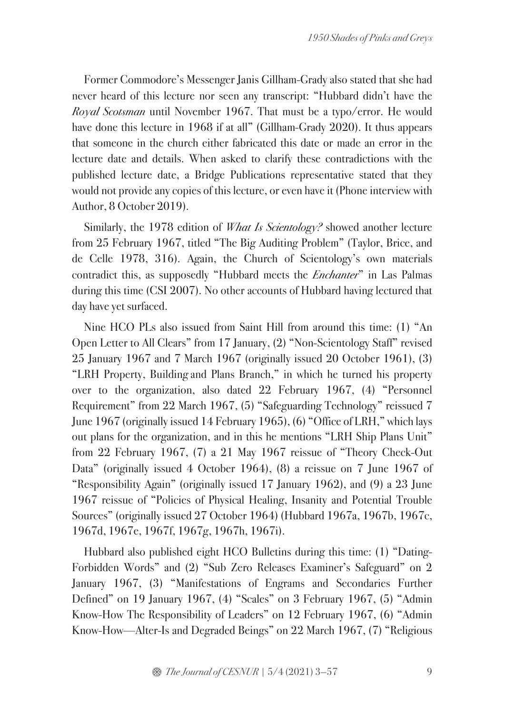Former Commodore's Messenger Janis Gillham-Grady also stated that she had never heard of this lecture nor seen any transcript: "Hubbard didn't have the *Royal Scotsman* until November 1967. That must be a typo/error. He would have done this lecture in 1968 if at all" (Gillham-Grady 2020). It thus appears that someone in the church either fabricated this date or made an error in the lecture date and details. When asked to clarify these contradictions with the published lecture date, a Bridge Publications representative stated that they would not provide any copies of this lecture, or even have it (Phone interview with Author, 8 October 2019).

Similarly, the 1978 edition of *What Is Scientology?* showed another lecture from 25 February 1967, titled "The Big Auditing Problem" (Taylor, Brice, and de Celle 1978, 316). Again, the Church of Scientology's own materials contradict this, as supposedly "Hubbard meets the *Enchanter*" in Las Palmas during this time (CSI 2007). No other accounts of Hubbard having lectured that day have yet surfaced.

Nine HCO PLs also issued from Saint Hill from around this time: (1) "An Open Letter to All Clears" from 17 January, (2) "Non-Scientology Staff" revised 25 January 1967 and 7 March 1967 (originally issued 20 October 1961), (3) "LRH Property, Building and Plans Branch," in which he turned his property over to the organization, also dated 22 February 1967, (4) "Personnel Requirement" from 22 March 1967, (5) "Safeguarding Technology" reissued 7 June 1967 (originally issued 14 February 1965), (6) "Office of LRH," which lays out plans for the organization, and in this he mentions "LRH Ship Plans Unit" from 22 February 1967, (7) a 21 May 1967 reissue of "Theory Check-Out Data" (originally issued 4 October 1964), (8) a reissue on 7 June 1967 of "Responsibility Again" (originally issued 17 January 1962), and (9) a 23 June 1967 reissue of "Policies of Physical Healing, Insanity and Potential Trouble Sources" (originally issued 27 October 1964) (Hubbard 1967a, 1967b, 1967c, 1967d, 1967e, 1967f, 1967g, 1967h, 1967i).

Hubbard also published eight HCO Bulletins during this time: (1) "Dating-Forbidden Words" and (2) "Sub Zero Releases Examiner's Safeguard" on 2 January 1967, (3) "Manifestations of Engrams and Secondaries Further Defined" on 19 January 1967, (4) "Scales" on 3 February 1967, (5) "Admin Know-How The Responsibility of Leaders" on 12 February 1967, (6) "Admin Know-How—Alter-Is and Degraded Beings" on 22 March 1967, (7) "Religious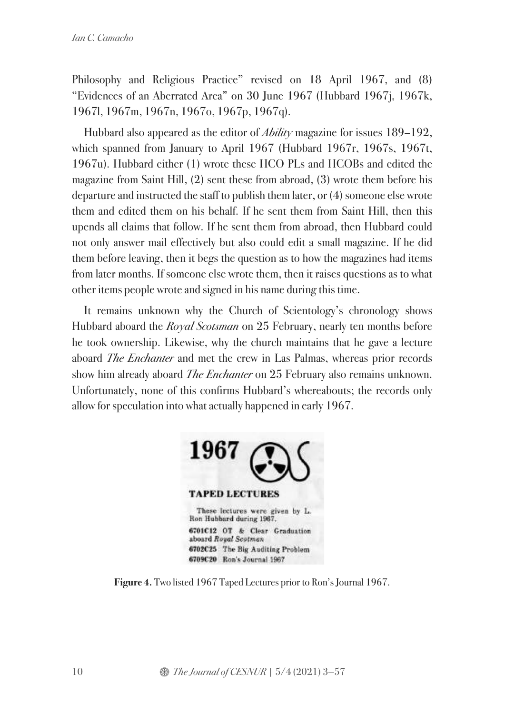Philosophy and Religious Practice" revised on 18 April 1967, and (8) "Evidences of an Aberrated Area" on 30 June 1967 (Hubbard 1967j, 1967k, 1967l, 1967m, 1967n, 1967o, 1967p, 1967q).

Hubbard also appeared as the editor of *Ability* magazine for issues 189–192, which spanned from January to April 1967 (Hubbard 1967r, 1967s, 1967t, 1967u). Hubbard either (1) wrote these HCO PLs and HCOBs and edited the magazine from Saint Hill, (2) sent these from abroad, (3) wrote them before his departure and instructed the staff to publish them later, or (4) someone else wrote them and edited them on his behalf. If he sent them from Saint Hill, then this upends all claims that follow. If he sent them from abroad, then Hubbard could not only answer mail effectively but also could edit a small magazine. If he did them before leaving, then it begs the question as to how the magazines had items from later months. If someone else wrote them, then it raises questions as to what other items people wrote and signed in his name during this time.

It remains unknown why the Church of Scientology's chronology shows Hubbard aboard the *Royal Scotsman* on 25 February, nearly ten months before he took ownership. Likewise, why the church maintains that he gave a lecture aboard *The Enchanter* and met the crew in Las Palmas, whereas prior records show him already aboard *The Enchanter* on 25 February also remains unknown. Unfortunately, none of this confirms Hubbard's whereabouts; the records only allow for speculation into what actually happened in early 1967.



**Figure 4.** Two listed 1967 Taped Lectures prior to Ron's Journal 1967.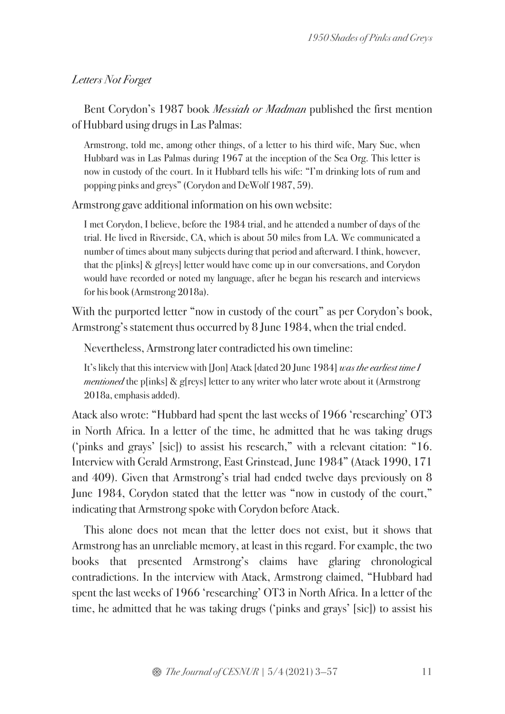### *Letters Not Forget*

Bent Corydon's 1987 book *Messiah or Madman* published the first mention of Hubbard using drugs in Las Palmas:

Armstrong, told me, among other things, of a letter to his third wife, Mary Sue, when Hubbard was in Las Palmas during 1967 at the inception of the Sea Org. This letter is now in custody of the court. In it Hubbard tells his wife: "I'm drinking lots of rum and popping pinks and greys" (Corydon and DeWolf 1987, 59).

Armstrong gave additional information on his own website:

I met Corydon, I believe, before the 1984 trial, and he attended a number of days of the trial. He lived in Riverside, CA, which is about 50 miles from LA. We communicated a number of times about many subjects during that period and afterward. I think, however, that the p[inks] & g[reys] letter would have come up in our conversations, and Corydon would have recorded or noted my language, after he began his research and interviews for his book (Armstrong 2018a).

With the purported letter "now in custody of the court" as per Corydon's book, Armstrong's statement thus occurred by 8 June 1984, when the trial ended.

Nevertheless, Armstrong later contradicted his own timeline:

It's likely that this interview with [Jon] Atack [dated 20 June 1984] *was the earliest time I mentioned* the p[inks] & g[reys] letter to any writer who later wrote about it (Armstrong 2018a, emphasis added).

Atack also wrote: "Hubbard had spent the last weeks of 1966 'researching' OT3 in North Africa. In a letter of the time, he admitted that he was taking drugs ('pinks and grays' [sic]) to assist his research," with a relevant citation: "16. Interview with Gerald Armstrong, East Grinstead, June 1984" (Atack 1990, 171 and 409). Given that Armstrong's trial had ended twelve days previously on 8 June 1984, Corydon stated that the letter was "now in custody of the court," indicating that Armstrong spoke with Corydon before Atack.

This alone does not mean that the letter does not exist, but it shows that Armstrong has an unreliable memory, at least in this regard. For example, the two books that presented Armstrong's claims have glaring chronological contradictions. In the interview with Atack, Armstrong claimed, "Hubbard had spent the last weeks of 1966 'researching' OT3 in North Africa. In a letter of the time, he admitted that he was taking drugs ('pinks and grays' [sic]) to assist his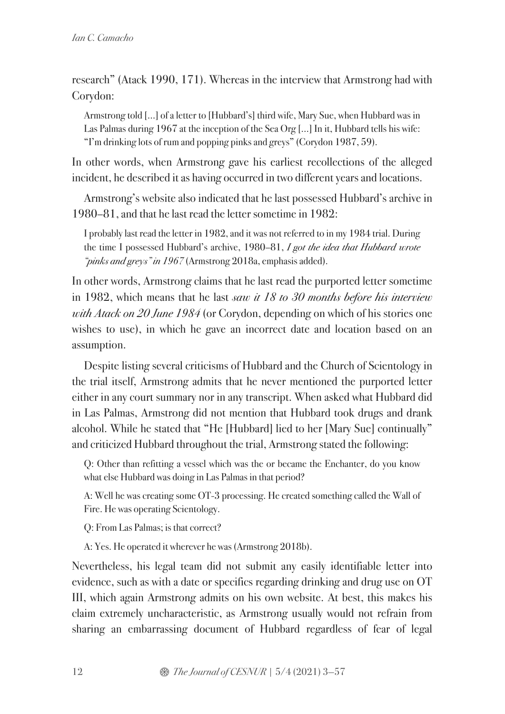research" (Atack 1990, 171). Whereas in the interview that Armstrong had with Corydon:

Armstrong told […] of a letter to [Hubbard's] third wife, Mary Sue, when Hubbard was in Las Palmas during 1967 at the inception of the Sea Org […] In it, Hubbard tells his wife: "I'm drinking lots of rum and popping pinks and greys" (Corydon 1987, 59).

In other words, when Armstrong gave his earliest recollections of the alleged incident, he described it as having occurred in two different years and locations.

Armstrong's website also indicated that he last possessed Hubbard's archive in 1980–81, and that he last read the letter sometime in 1982:

I probably last read the letter in 1982, and it was not referred to in my 1984 trial. During the time I possessed Hubbard's archive, 1980–81, *I got the idea that Hubbard wrote "pinks and greys" in 1967* (Armstrong 2018a, emphasis added).

In other words, Armstrong claims that he last read the purported letter sometime in 1982, which means that he last *saw it 18 to 30 months before his interview with Atack on 20 June 1984* (or Corydon, depending on which of his stories one wishes to use), in which he gave an incorrect date and location based on an assumption.

Despite listing several criticisms of Hubbard and the Church of Scientology in the trial itself, Armstrong admits that he never mentioned the purported letter either in any court summary nor in any transcript. When asked what Hubbard did in Las Palmas, Armstrong did not mention that Hubbard took drugs and drank alcohol. While he stated that "He [Hubbard] lied to her [Mary Sue] continually" and criticized Hubbard throughout the trial, Armstrong stated the following:

Q: Other than refitting a vessel which was the or became the Enchanter, do you know what else Hubbard was doing in Las Palmas in that period?

A: Well he was creating some OT-3 processing. He created something called the Wall of Fire. He was operating Scientology.

Q: From Las Palmas; is that correct?

A: Yes. He operated it wherever he was (Armstrong 2018b).

Nevertheless, his legal team did not submit any easily identifiable letter into evidence, such as with a date or specifics regarding drinking and drug use on OT III, which again Armstrong admits on his own website. At best, this makes his claim extremely uncharacteristic, as Armstrong usually would not refrain from sharing an embarrassing document of Hubbard regardless of fear of legal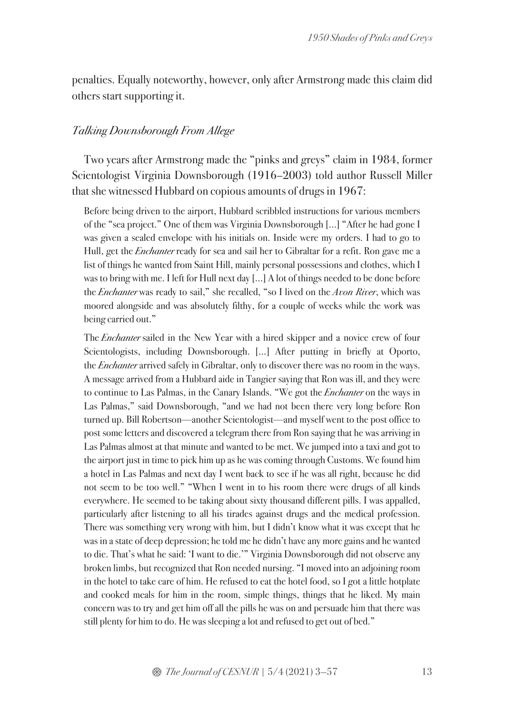penalties. Equally noteworthy, however, only after Armstrong made this claim did others start supporting it.

### *Talking Downsborough From Allege*

Two years after Armstrong made the "pinks and greys" claim in 1984, former Scientologist Virginia Downsborough (1916–2003) told author Russell Miller that she witnessed Hubbard on copious amounts of drugs in 1967:

Before being driven to the airport, Hubbard scribbled instructions for various members of the "sea project." One of them was Virginia Downsborough […] "After he had gone I was given a sealed envelope with his initials on. Inside were my orders. I had to go to Hull, get the *Enchanter* ready for sea and sail her to Gibraltar for a refit. Ron gave me a list of things he wanted from Saint Hill, mainly personal possessions and clothes, which I was to bring with me. I left for Hull next day […] A lot of things needed to be done before the *Enchanter* was ready to sail," she recalled, "so I lived on the *Avon River*, which was moored alongside and was absolutely filthy, for a couple of weeks while the work was being carried out."

The *Enchanter* sailed in the New Year with a hired skipper and a novice crew of four Scientologists, including Downsborough. […] After putting in briefly at Oporto, the *Enchanter*arrived safely in Gibraltar, only to discover there was no room in the ways. A message arrived from a Hubbard aide in Tangier saying that Ron was ill, and they were to continue to Las Palmas, in the Canary Islands. "We got the *Enchanter* on the ways in Las Palmas," said Downsborough, "and we had not been there very long before Ron turned up. Bill Robertson—another Scientologist—and myself went to the post office to post some letters and discovered a telegram there from Ron saying that he was arriving in Las Palmas almost at that minute and wanted to be met. We jumped into a taxi and got to the airport just in time to pick him up as he was coming through Customs. We found him a hotel in Las Palmas and next day I went back to see if he was all right, because he did not seem to be too well." "When I went in to his room there were drugs of all kinds everywhere. He seemed to be taking about sixty thousand different pills. I was appalled, particularly after listening to all his tirades against drugs and the medical profession. There was something very wrong with him, but I didn't know what it was except that he was in a state of deep depression; he told me he didn't have any more gains and he wanted to die. That's what he said: 'I want to die.'" Virginia Downsborough did not observe any broken limbs, but recognized that Ron needed nursing. "I moved into an adjoining room in the hotel to take care of him. He refused to eat the hotel food, so I got a little hotplate and cooked meals for him in the room, simple things, things that he liked. My main concern was to try and get him off all the pills he was on and persuade him that there was still plenty for him to do. He was sleeping a lot and refused to get out of bed."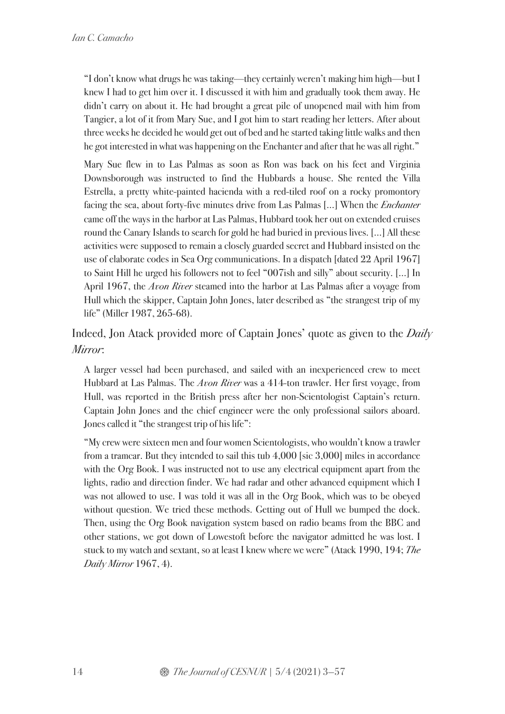"I don't know what drugs he was taking—they certainly weren't making him high—but I knew I had to get him over it. I discussed it with him and gradually took them away. He didn't carry on about it. He had brought a great pile of unopened mail with him from Tangier, a lot of it from Mary Sue, and I got him to start reading her letters. After about three weeks he decided he would get out of bed and he started taking little walks and then he got interested in what was happening on the Enchanter and after that he was all right."

Mary Sue flew in to Las Palmas as soon as Ron was back on his feet and Virginia Downsborough was instructed to find the Hubbards a house. She rented the Villa Estrella, a pretty white-painted hacienda with a red-tiled roof on a rocky promontory facing the sea, about forty-five minutes drive from Las Palmas […] When the *Enchanter* came off the ways in the harbor at Las Palmas, Hubbard took her out on extended cruises round the Canary Islands to search for gold he had buried in previous lives. […] All these activities were supposed to remain a closely guarded secret and Hubbard insisted on the use of elaborate codes in Sea Org communications. In a dispatch [dated 22 April 1967] to Saint Hill he urged his followers not to feel "007ish and silly" about security. […] In April 1967, the *Avon River* steamed into the harbor at Las Palmas after a voyage from Hull which the skipper, Captain John Jones, later described as "the strangest trip of my life" (Miller 1987, 265-68).

Indeed, Jon Atack provided more of Captain Jones' quote as given to the *Daily Mirror*:

A larger vessel had been purchased, and sailed with an inexperienced crew to meet Hubbard at Las Palmas. The *Avon River* was a 414-ton trawler. Her first voyage, from Hull, was reported in the British press after her non-Scientologist Captain's return. Captain John Jones and the chief engineer were the only professional sailors aboard. Jones called it "the strangest trip of his life":

"My crew were sixteen men and four women Scientologists, who wouldn't know a trawler from a tramcar. But they intended to sail this tub 4,000 [sic 3,000] miles in accordance with the Org Book. I was instructed not to use any electrical equipment apart from the lights, radio and direction finder. We had radar and other advanced equipment which I was not allowed to use. I was told it was all in the Org Book, which was to be obeyed without question. We tried these methods. Getting out of Hull we bumped the dock. Then, using the Org Book navigation system based on radio beams from the BBC and other stations, we got down of Lowestoft before the navigator admitted he was lost. I stuck to my watch and sextant, so at least I knew where we were" (Atack 1990, 194; *The Daily Mirror* 1967, 4).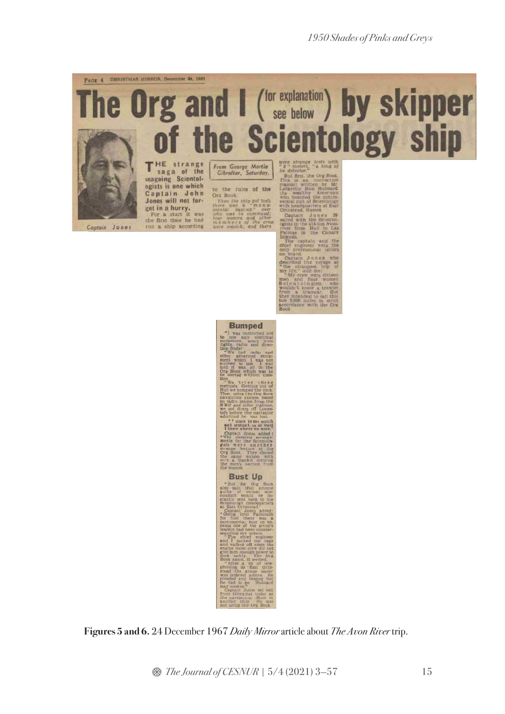

Captain Jones

Jones will not for-<br>get in a hurry.<br>For a start It was<br>the first time he had<br>run a ship according

*The Book.*<br>The the ship got lost:<br>nee toos a "monu-<br>need basi-up" over<br>ho was in command;<br>new momen and other<br>versel and other<br>nee seasick; and there

**Bumped** 

.000 miles in stric<br>lance with the On

**Bust Up** 

**Figures 5 and 6.** 24 December 1967 *Daily Mirror*article about *The Avon River* trip.

\$ *The Journal of CESNUR* | 5/4 (2021) 3—57 15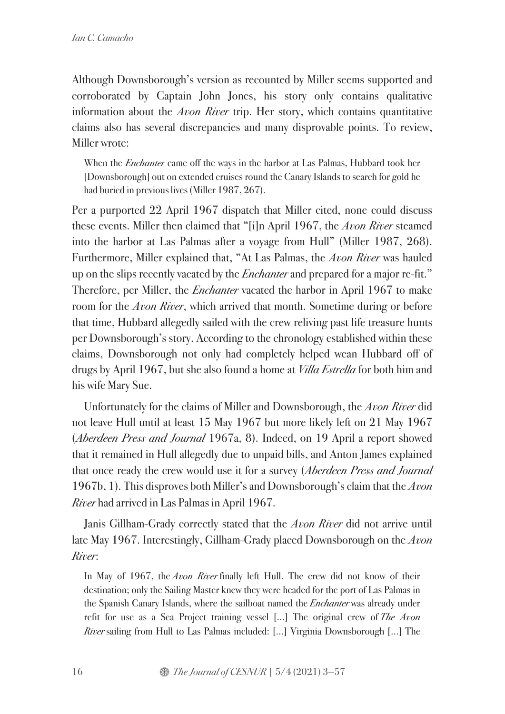Although Downsborough's version as recounted by Miller seems supported and corroborated by Captain John Jones, his story only contains qualitative information about the *Avon River* trip. Her story, which contains quantitative claims also has several discrepancies and many disprovable points. To review, Miller wrote:

When the *Enchanter* came off the ways in the harbor at Las Palmas, Hubbard took her [Downsborough] out on extended cruises round the Canary Islands to search for gold he had buried in previous lives (Miller 1987, 267).

Per a purported 22 April 1967 dispatch that Miller cited, none could discuss these events. Miller then claimed that "[i]n April 1967, the *Avon River* steamed into the harbor at Las Palmas after a voyage from Hull" (Miller 1987, 268). Furthermore, Miller explained that, "At Las Palmas, the *Avon River* was hauled up on the slips recently vacated by the *Enchanter* and prepared for a major re-fit." Therefore, per Miller, the *Enchanter* vacated the harbor in April 1967 to make room for the *Avon River*, which arrived that month. Sometime during or before that time, Hubbard allegedly sailed with the crew reliving past life treasure hunts per Downsborough's story. According to the chronology established within these claims, Downsborough not only had completely helped wean Hubbard off of drugs by April 1967, but she also found a home at *Villa Estrella* for both him and his wife Mary Sue.

Unfortunately for the claims of Miller and Downsborough, the *Avon River* did not leave Hull until at least 15 May 1967 but more likely left on 21 May 1967 (*Aberdeen Press and Journal* 1967a, 8). Indeed, on 19 April a report showed that it remained in Hull allegedly due to unpaid bills, and Anton James explained that once ready the crew would use it for a survey (*Aberdeen Press and Journal*  1967b, 1). This disproves both Miller's and Downsborough's claim that the *Avon River* had arrived in Las Palmas in April 1967.

Janis Gillham-Grady correctly stated that the *Avon River* did not arrive until late May 1967. Interestingly, Gillham-Grady placed Downsborough on the *Avon River*:

In May of 1967, the *Avon River* finally left Hull. The crew did not know of their destination; only the Sailing Master knew they were headed for the port of Las Palmas in the Spanish Canary Islands, where the sailboat named the *Enchanter* was already under refit for use as a Sea Project training vessel […] The original crew of *The Avon River* sailing from Hull to Las Palmas included: […] Virginia Downsborough […] The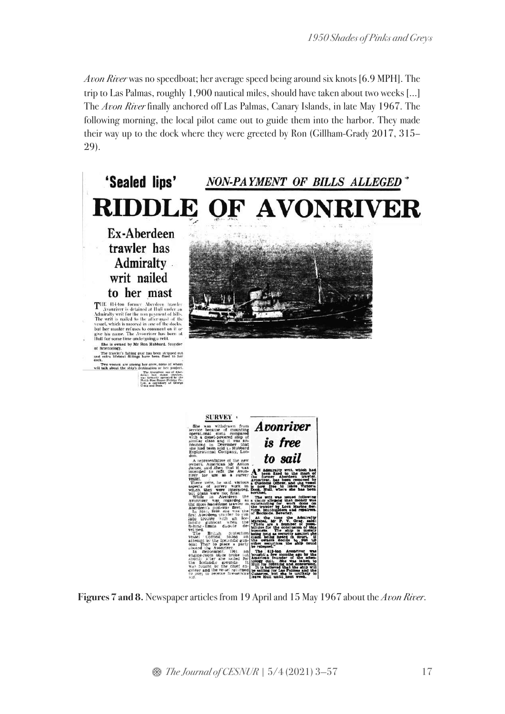*Avon River* was no speedboat; her average speed being around six knots [6.9 MPH]. The trip to Las Palmas, roughly 1,900 nautical miles, should have taken about two weeks […] The *Avon River* finally anchored off Las Palmas, Canary Islands, in late May 1967. The following morning, the local pilot came out to guide them into the harbor. They made their way up to the dock where they were greeted by Ron (Gillham-Grady 2017, 315– 29).





**Figures 7 and 8.** Newspaper articles from 19 April and 15 May 1967 about the *Avon River*.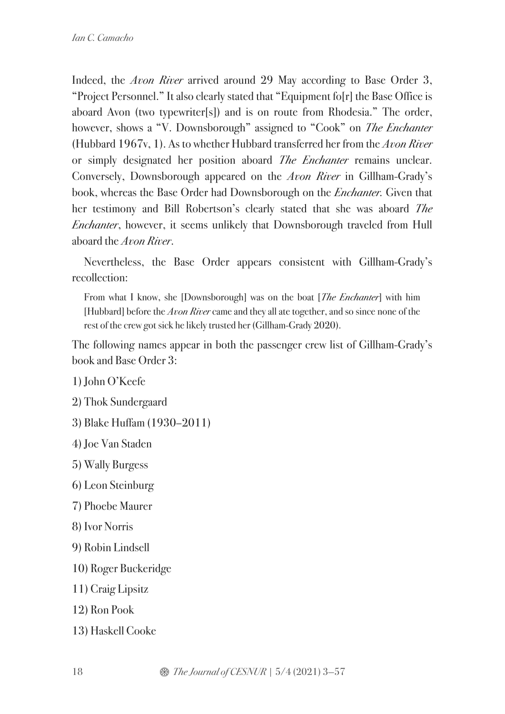Indeed, the *Avon River* arrived around 29 May according to Base Order 3, "Project Personnel." It also clearly stated that "Equipment fo[r] the Base Office is aboard Avon (two typewriter[s]) and is on route from Rhodesia." The order, however, shows a "V. Downsborough" assigned to "Cook" on *The Enchanter* (Hubbard 1967v, 1). As to whether Hubbard transferred her from the *Avon River* or simply designated her position aboard *The Enchanter* remains unclear. Conversely, Downsborough appeared on the *Avon River* in Gillham-Grady's book, whereas the Base Order had Downsborough on the *Enchanter.* Given that her testimony and Bill Robertson's clearly stated that she was aboard *The Enchanter*, however, it seems unlikely that Downsborough traveled from Hull aboard the *Avon River*.

Nevertheless, the Base Order appears consistent with Gillham-Grady's recollection:

From what I know, she [Downsborough] was on the boat [*The Enchanter*] with him [Hubbard] before the *Avon River* came and they all ate together, and so since none of the rest of the crew got sick he likely trusted her (Gillham-Grady 2020).

The following names appear in both the passenger crew list of Gillham-Grady's book and Base Order 3:

- 1) John O'Keefe
- 2) Thok Sundergaard
- 3) Blake Huffam (1930–2011)
- 4) Joe Van Staden
- 5) Wally Burgess
- 6) Leon Steinburg
- 7) Phoebe Maurer
- 8) Ivor Norris
- 9) Robin Lindsell
- 10) Roger Buckeridge
- 11) Craig Lipsitz
- 12) Ron Pook
- 13) Haskell Cooke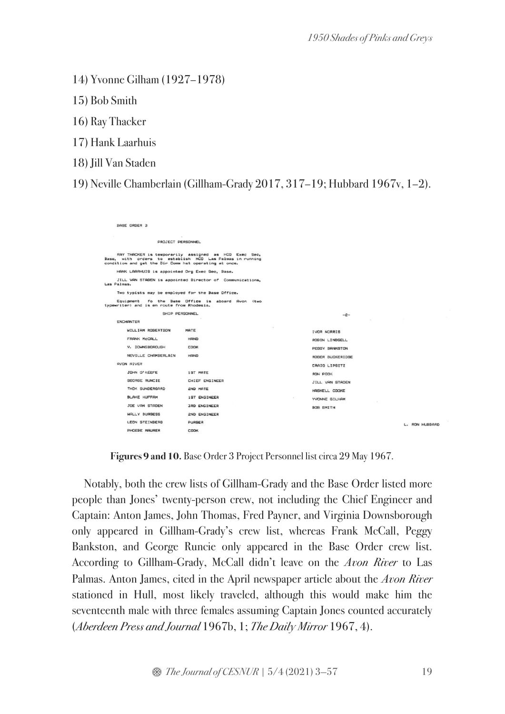#### 14) Yvonne Gilham (1927–1978)

- 15) Bob Smith
- 16) Ray Thacker
- 17) Hank Laarhuis
- 18) Jill Van Staden

19) Neville Chamberlain (Gillham-Grady 2017, 317–19; Hubbard 1967v, 1–2).

| <b>BASE ORDER 3</b>                                     |                                                                                                                  |                  |                |
|---------------------------------------------------------|------------------------------------------------------------------------------------------------------------------|------------------|----------------|
| ш                                                       |                                                                                                                  |                  |                |
| PROJECT PERSONNEL                                       |                                                                                                                  |                  |                |
| condition and get the Dir Comm hat operating at once.   | RAY THACKER is temporarily assigned as HCO Exec Sec.<br>Base, with orders to establish HCD Las Palmas in running |                  |                |
| HANK LAARHUIS is appointed Org Exec Sec, Base.          |                                                                                                                  |                  |                |
| Las Palmas.                                             | JILL VAN STADEN is appointed Director of Communications,                                                         |                  |                |
| Two typists may be employed for the Base Office.        |                                                                                                                  |                  |                |
| Equipment<br>typewriter) and is en route from Rhodesia. | fo the Base Office is aboard Avon (two                                                                           |                  |                |
| SHIP PERSONNEL                                          |                                                                                                                  | $-2-$            |                |
| <b>ENCHANTER</b>                                        |                                                                                                                  | $\sim$           |                |
| WILLIAM ROBERTSON                                       | MATE                                                                                                             | IVOR NORRIS      |                |
| <b>FRANK MCCALL</b>                                     | HAND                                                                                                             | ROBIN LINDSELL   |                |
| V. DOWNSBOROUGH                                         | COOK                                                                                                             | PEGGY BANKSTON   |                |
| NEVILLE CHAMBERLAIN                                     | HAND                                                                                                             | ROGER BUCKERIDGE |                |
| AVON RIVER                                              |                                                                                                                  | CRAIG LIPSITZ    |                |
| JOHN O'KEEFE                                            | <b>IST MATE</b>                                                                                                  | RON POOK         |                |
| <b>GEORGE RUNCIE</b>                                    | CHIEF ENGINEER                                                                                                   | JILL VAN STADEN  |                |
| THOK SUNDERGARD                                         | <b>2ND MATE</b>                                                                                                  | HASKELL COOKE    |                |
| <b>BLAKE HUFFAM</b>                                     | <b>1ST ENGINEER</b>                                                                                              | YVONNE GILHAM    |                |
| JOE VAN STADEN                                          | <b>3RD ENGINEER</b>                                                                                              | BOB SMITH        |                |
| WALLY BURGESS                                           | 2ND ENGINEER                                                                                                     |                  |                |
| LEON STEINBERG                                          | <b>PURSER</b>                                                                                                    |                  | L. RON HUBBARD |
| PHOEBE MAURER                                           | COOK                                                                                                             |                  |                |
|                                                         |                                                                                                                  |                  |                |

**Figures 9 and 10.** Base Order 3 Project Personnel list circa 29 May 1967.

Notably, both the crew lists of Gillham-Grady and the Base Order listed more people than Jones' twenty-person crew, not including the Chief Engineer and Captain: Anton James, John Thomas, Fred Payner, and Virginia Downsborough only appeared in Gillham-Grady's crew list, whereas Frank McCall, Peggy Bankston, and George Runcie only appeared in the Base Order crew list. According to Gillham-Grady, McCall didn't leave on the *Avon River* to Las Palmas. Anton James, cited in the April newspaper article about the *Avon River* stationed in Hull, most likely traveled, although this would make him the seventeenth male with three females assuming Captain Jones counted accurately (*Aberdeen Press and Journal* 1967b, 1; *The Daily Mirror* 1967, 4).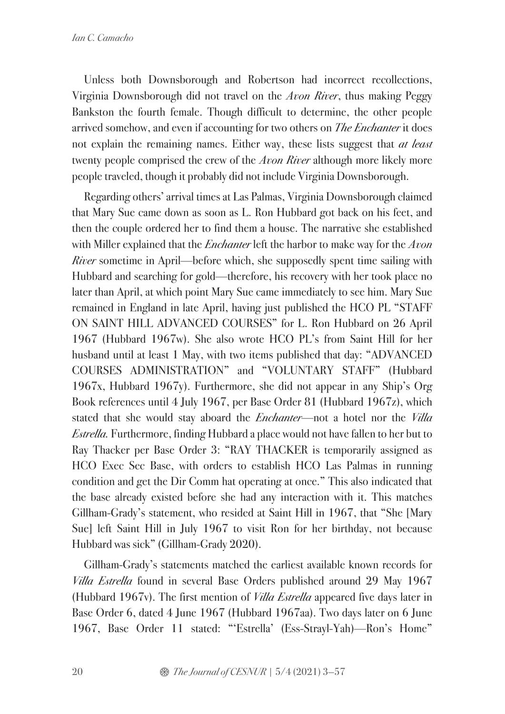Unless both Downsborough and Robertson had incorrect recollections, Virginia Downsborough did not travel on the *Avon River*, thus making Peggy Bankston the fourth female. Though difficult to determine, the other people arrived somehow, and even if accounting for two others on *The Enchanter* it does not explain the remaining names. Either way, these lists suggest that *at least* twenty people comprised the crew of the *Avon River* although more likely more people traveled, though it probably did not include Virginia Downsborough.

Regarding others' arrival times at Las Palmas, Virginia Downsborough claimed that Mary Sue came down as soon as L. Ron Hubbard got back on his feet, and then the couple ordered her to find them a house. The narrative she established with Miller explained that the *Enchanter* left the harbor to make way for the *Avon River* sometime in April—before which, she supposedly spent time sailing with Hubbard and searching for gold—therefore, his recovery with her took place no later than April, at which point Mary Sue came immediately to see him. Mary Sue remained in England in late April, having just published the HCO PL "STAFF ON SAINT HILL ADVANCED COURSES" for L. Ron Hubbard on 26 April 1967 (Hubbard 1967w). She also wrote HCO PL's from Saint Hill for her husband until at least 1 May, with two items published that day: "ADVANCED COURSES ADMINISTRATION" and "VOLUNTARY STAFF" (Hubbard 1967x, Hubbard 1967y). Furthermore, she did not appear in any Ship's Org Book references until 4 July 1967, per Base Order 81 (Hubbard 1967z), which stated that she would stay aboard the *Enchanter*—not a hotel nor the *Villa Estrella.* Furthermore, finding Hubbard a place would not have fallen to her but to Ray Thacker per Base Order 3: "RAY THACKER is temporarily assigned as HCO Exec Sec Base, with orders to establish HCO Las Palmas in running condition and get the Dir Comm hat operating at once." This also indicated that the base already existed before she had any interaction with it. This matches Gillham-Grady's statement, who resided at Saint Hill in 1967, that "She [Mary Sue] left Saint Hill in July 1967 to visit Ron for her birthday, not because Hubbard was sick" (Gillham-Grady 2020).

Gillham-Grady's statements matched the earliest available known records for *Villa Estrella* found in several Base Orders published around 29 May 1967 (Hubbard 1967v). The first mention of *Villa Estrella* appeared five days later in Base Order 6, dated 4 June 1967 (Hubbard 1967aa). Two days later on 6 June 1967, Base Order 11 stated: "'Estrella' (Ess-Strayl-Yah)—Ron's Home"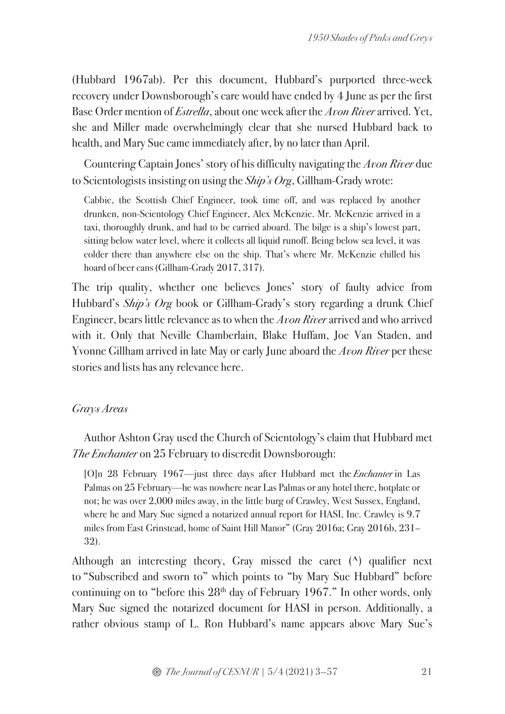(Hubbard 1967ab). Per this document, Hubbard's purported three-week recovery under Downsborough's care would have ended by 4 June as per the first Base Order mention of *Estrella*, about one week after the *Avon River* arrived. Yet, she and Miller made overwhelmingly clear that she nursed Hubbard back to health, and Mary Sue came immediately after, by no later than April.

Countering Captain Jones' story of his difficulty navigating the *Avon River* due to Scientologists insisting on using the *Ship's Org*, Gillham-Grady wrote:

Cabbie, the Scottish Chief Engineer, took time off, and was replaced by another drunken, non-Scientology Chief Engineer, Alex McKenzie. Mr. McKenzie arrived in a taxi, thoroughly drunk, and had to be carried aboard. The bilge is a ship's lowest part, sitting below water level, where it collects all liquid runoff. Being below sea level, it was colder there than anywhere else on the ship. That's where Mr. McKenzie chilled his hoard of beer cans (Gillham-Grady 2017, 317).

The trip quality, whether one believes Jones' story of faulty advice from Hubbard's *Ship's Org* book or Gillham-Grady's story regarding a drunk Chief Engineer, bears little relevance as to when the *Avon River*arrived and who arrived with it. Only that Neville Chamberlain, Blake Huffam, Joe Van Staden, and Yvonne Gillham arrived in late May or early June aboard the *Avon River* per these stories and lists has any relevance here.

### *Grays Areas*

Author Ashton Gray used the Church of Scientology's claim that Hubbard met *The Enchanter* on 25 February to discredit Downsborough:

[O]n 28 February 1967—just three days after Hubbard met the *Enchanter* in Las Palmas on 25 February—he was nowhere near Las Palmas or any hotel there, hotplate or not; he was over 2,000 miles away, in the little burg of Crawley, West Sussex, England, where he and Mary Sue signed a notarized annual report for HASI, Inc. Crawley is 9.7 miles from East Grinstead, home of Saint Hill Manor" (Gray 2016a; Gray 2016b, 231– 32).

Although an interesting theory, Gray missed the caret  $(^\wedge)$  qualifier next to "Subscribed and sworn to" which points to "by Mary Sue Hubbard" before continuing on to "before this  $28<sup>th</sup>$  day of February 1967." In other words, only Mary Sue signed the notarized document for HASI in person. Additionally, a rather obvious stamp of L. Ron Hubbard's name appears above Mary Sue's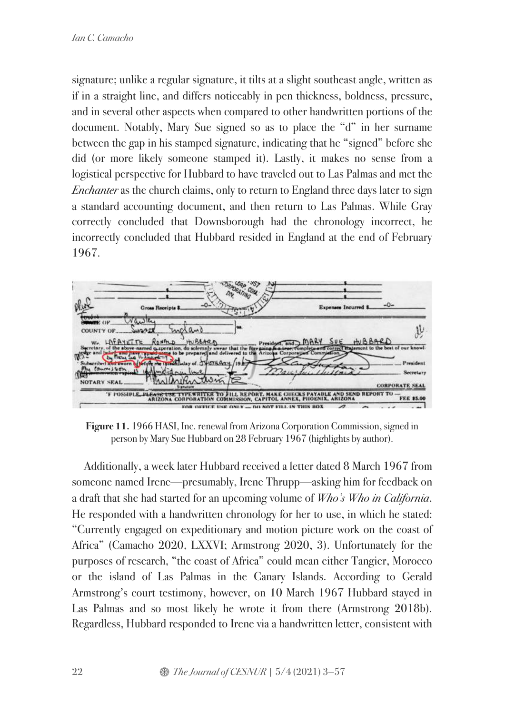signature; unlike a regular signature, it tilts at a slight southeast angle, written as if in a straight line, and differs noticeably in pen thickness, boldness, pressure, and in several other aspects when compared to other handwritten portions of the document. Notably, Mary Sue signed so as to place the "d" in her surname between the gap in his stamped signature, indicating that he "signed" before she did (or more likely someone stamped it). Lastly, it makes no sense from a logistical perspective for Hubbard to have traveled out to Las Palmas and met the *Enchanter* as the church claims, only to return to England three days later to sign a standard accounting document, and then return to Las Palmas. While Gray correctly concluded that Downsborough had the chronology incorrect, he incorrectly concluded that Hubbard resided in England at the end of February 1967.



**Figure 11.** 1966 HASI, Inc. renewal from Arizona Corporation Commission, signed in person by Mary Sue Hubbard on 28 February 1967 (highlights by author).

Additionally, a week later Hubbard received a letter dated 8 March 1967 from someone named Irene—presumably, Irene Thrupp—asking him for feedback on a draft that she had started for an upcoming volume of *Who's Who in California*. He responded with a handwritten chronology for her to use, in which he stated: "Currently engaged on expeditionary and motion picture work on the coast of Africa" (Camacho 2020, LXXVI; Armstrong 2020, 3). Unfortunately for the purposes of research, "the coast of Africa" could mean either Tangier, Morocco or the island of Las Palmas in the Canary Islands. According to Gerald Armstrong's court testimony, however, on 10 March 1967 Hubbard stayed in Las Palmas and so most likely he wrote it from there (Armstrong 2018b). Regardless, Hubbard responded to Irene via a handwritten letter, consistent with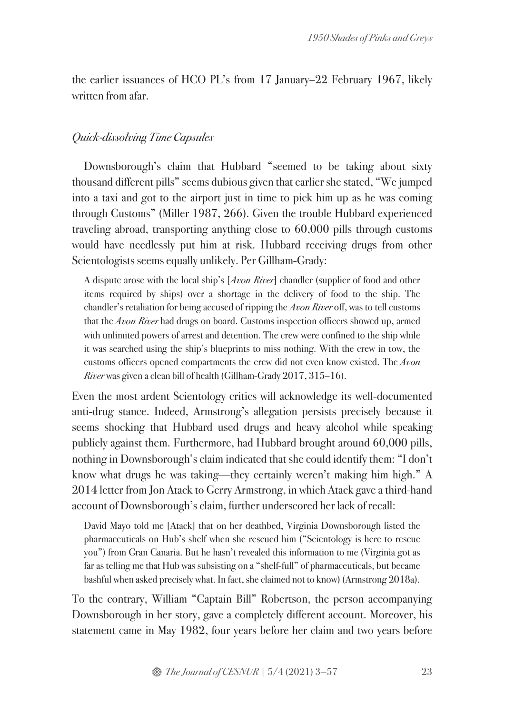the earlier issuances of HCO PL's from 17 January–22 February 1967, likely written from afar.

#### *Quick-dissolving Time Capsules*

Downsborough's claim that Hubbard "seemed to be taking about sixty thousand different pills" seems dubious given that earlier she stated, "We jumped into a taxi and got to the airport just in time to pick him up as he was coming through Customs" (Miller 1987, 266). Given the trouble Hubbard experienced traveling abroad, transporting anything close to 60,000 pills through customs would have needlessly put him at risk. Hubbard receiving drugs from other Scientologists seems equally unlikely. Per Gillham-Grady:

A dispute arose with the local ship's [*Avon River*] chandler (supplier of food and other items required by ships) over a shortage in the delivery of food to the ship. The chandler's retaliation for being accused of ripping the *Avon River* off, was to tell customs that the *Avon River* had drugs on board. Customs inspection officers showed up, armed with unlimited powers of arrest and detention. The crew were confined to the ship while it was searched using the ship's blueprints to miss nothing. With the crew in tow, the customs officers opened compartments the crew did not even know existed. The *Avon River* was given a clean bill of health (Gillham-Grady 2017, 315–16).

Even the most ardent Scientology critics will acknowledge its well-documented anti-drug stance. Indeed, Armstrong's allegation persists precisely because it seems shocking that Hubbard used drugs and heavy alcohol while speaking publicly against them. Furthermore, had Hubbard brought around 60,000 pills, nothing in Downsborough's claim indicated that she could identify them: "I don't know what drugs he was taking—they certainly weren't making him high." A 2014 letter from Jon Atack to Gerry Armstrong, in which Atack gave a third-hand account of Downsborough's claim, further underscored her lack of recall:

David Mayo told me [Atack] that on her deathbed, Virginia Downsborough listed the pharmaceuticals on Hub's shelf when she rescued him ("Scientology is here to rescue you") from Gran Canaria. But he hasn't revealed this information to me (Virginia got as far as telling me that Hub was subsisting on a "shelf-full" of pharmaceuticals, but became bashful when asked precisely what. In fact, she claimed not to know) (Armstrong 2018a).

To the contrary, William "Captain Bill" Robertson, the person accompanying Downsborough in her story, gave a completely different account. Moreover, his statement came in May 1982, four years before her claim and two years before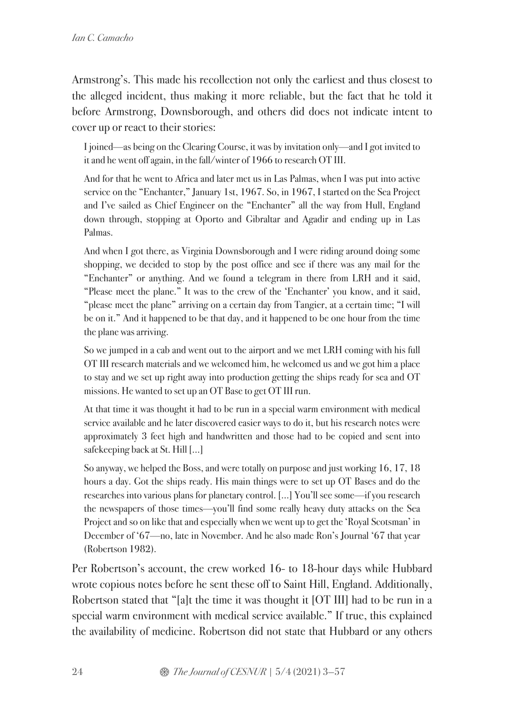Armstrong's. This made his recollection not only the earliest and thus closest to the alleged incident, thus making it more reliable, but the fact that he told it before Armstrong, Downsborough, and others did does not indicate intent to cover up or react to their stories:

I joined—as being on the Clearing Course, it was by invitation only—and I got invited to it and he went off again, in the fall/winter of 1966 to research OT III.

And for that he went to Africa and later met us in Las Palmas, when I was put into active service on the "Enchanter," January 1st, 1967. So, in 1967, I started on the Sea Project and I've sailed as Chief Engineer on the "Enchanter" all the way from Hull, England down through, stopping at Oporto and Gibraltar and Agadir and ending up in Las Palmas.

And when I got there, as Virginia Downsborough and I were riding around doing some shopping, we decided to stop by the post office and see if there was any mail for the "Enchanter" or anything. And we found a telegram in there from LRH and it said, "Please meet the plane." It was to the crew of the 'Enchanter' you know, and it said, "please meet the plane" arriving on a certain day from Tangier, at a certain time; "I will be on it." And it happened to be that day, and it happened to be one hour from the time the plane was arriving.

So we jumped in a cab and went out to the airport and we met LRH coming with his full OT III research materials and we welcomed him, he welcomed us and we got him a place to stay and we set up right away into production getting the ships ready for sea and OT missions. He wanted to set up an OT Base to get OT III run.

At that time it was thought it had to be run in a special warm environment with medical service available and he later discovered easier ways to do it, but his research notes were approximately 3 feet high and handwritten and those had to be copied and sent into safekeeping back at St. Hill […]

So anyway, we helped the Boss, and were totally on purpose and just working 16, 17, 18 hours a day. Got the ships ready. His main things were to set up OT Bases and do the researches into various plans for planetary control. […] You'll see some—if you research the newspapers of those times—you'll find some really heavy duty attacks on the Sea Project and so on like that and especially when we went up to get the 'Royal Scotsman' in December of '67—no, late in November. And he also made Ron's Journal '67 that year (Robertson 1982).

Per Robertson's account, the crew worked 16- to 18-hour days while Hubbard wrote copious notes before he sent these off to Saint Hill, England. Additionally, Robertson stated that "[a]t the time it was thought it [OT III] had to be run in a special warm environment with medical service available." If true, this explained the availability of medicine. Robertson did not state that Hubbard or any others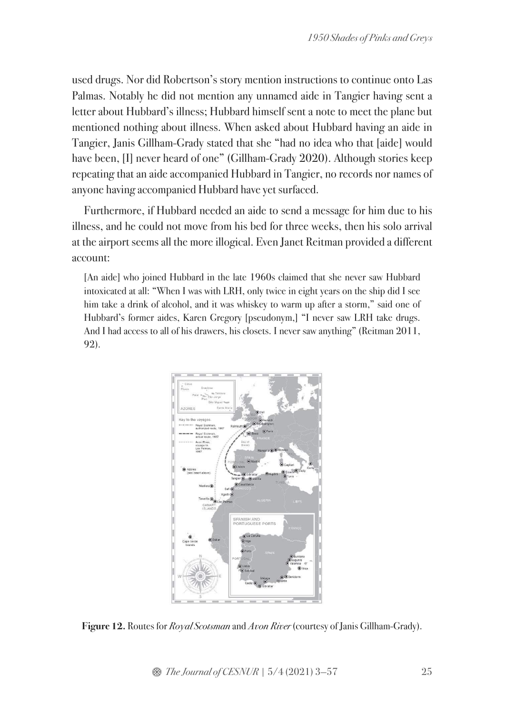used drugs. Nor did Robertson's story mention instructions to continue onto Las Palmas. Notably he did not mention any unnamed aide in Tangier having sent a letter about Hubbard's illness; Hubbard himself sent a note to meet the plane but mentioned nothing about illness. When asked about Hubbard having an aide in Tangier, Janis Gillham-Grady stated that she "had no idea who that [aide] would have been, [I] never heard of one" (Gillham-Grady 2020). Although stories keep repeating that an aide accompanied Hubbard in Tangier, no records nor names of anyone having accompanied Hubbard have yet surfaced.

Furthermore, if Hubbard needed an aide to send a message for him due to his illness, and he could not move from his bed for three weeks, then his solo arrival at the airport seems all the more illogical. Even Janet Reitman provided a different account:

[An aide] who joined Hubbard in the late 1960s claimed that she never saw Hubbard intoxicated at all: "When I was with LRH, only twice in eight years on the ship did I see him take a drink of alcohol, and it was whiskey to warm up after a storm," said one of Hubbard's former aides, Karen Gregory [pseudonym,] "I never saw LRH take drugs. And I had access to all of his drawers, his closets. I never saw anything" (Reitman 2011, 92).



**Figure 12.** Routes for *Royal Scotsman* and *Avon River* (courtesy of Janis Gillham-Grady).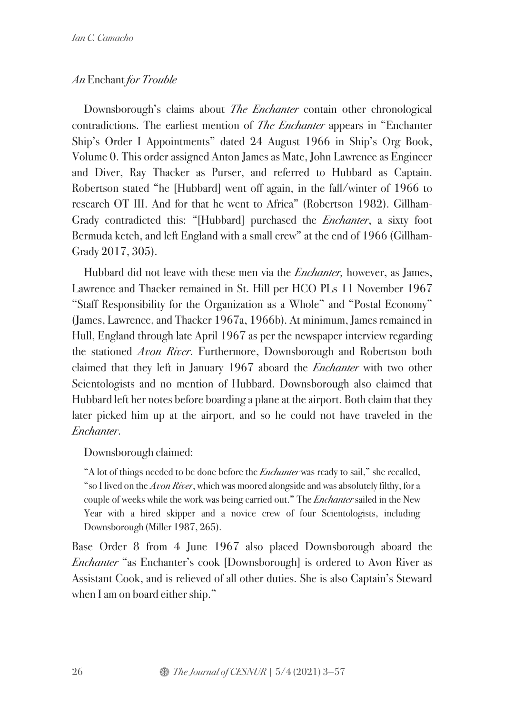## *An* Enchant *for Trouble*

Downsborough's claims about *The Enchanter* contain other chronological contradictions. The earliest mention of *The Enchanter* appears in "Enchanter Ship's Order I Appointments" dated 24 August 1966 in Ship's Org Book, Volume 0. This order assigned Anton James as Mate, John Lawrence as Engineer and Diver, Ray Thacker as Purser, and referred to Hubbard as Captain. Robertson stated "he [Hubbard] went off again, in the fall/winter of 1966 to research OT III. And for that he went to Africa" (Robertson 1982). Gillham-Grady contradicted this: "[Hubbard] purchased the *Enchanter*, a sixty foot Bermuda ketch, and left England with a small crew" at the end of 1966 (Gillham-Grady 2017, 305).

Hubbard did not leave with these men via the *Enchanter,* however, as James, Lawrence and Thacker remained in St. Hill per HCO PLs 11 November 1967 "Staff Responsibility for the Organization as a Whole" and "Postal Economy" (James, Lawrence, and Thacker 1967a, 1966b). At minimum, James remained in Hull, England through late April 1967 as per the newspaper interview regarding the stationed *Avon River*. Furthermore, Downsborough and Robertson both claimed that they left in January 1967 aboard the *Enchanter* with two other Scientologists and no mention of Hubbard. Downsborough also claimed that Hubbard left her notes before boarding a plane at the airport. Both claim that they later picked him up at the airport, and so he could not have traveled in the *Enchanter*.

Downsborough claimed:

"A lot of things needed to be done before the *Enchanter* was ready to sail," she recalled, "so I lived on the *Avon River*, which was moored alongside and was absolutely filthy, for a couple of weeks while the work was being carried out." The *Enchanter* sailed in the New Year with a hired skipper and a novice crew of four Scientologists, including Downsborough (Miller 1987, 265).

Base Order 8 from 4 June 1967 also placed Downsborough aboard the *Enchanter* "as Enchanter's cook [Downsborough] is ordered to Avon River as Assistant Cook, and is relieved of all other duties. She is also Captain's Steward when I am on board either ship."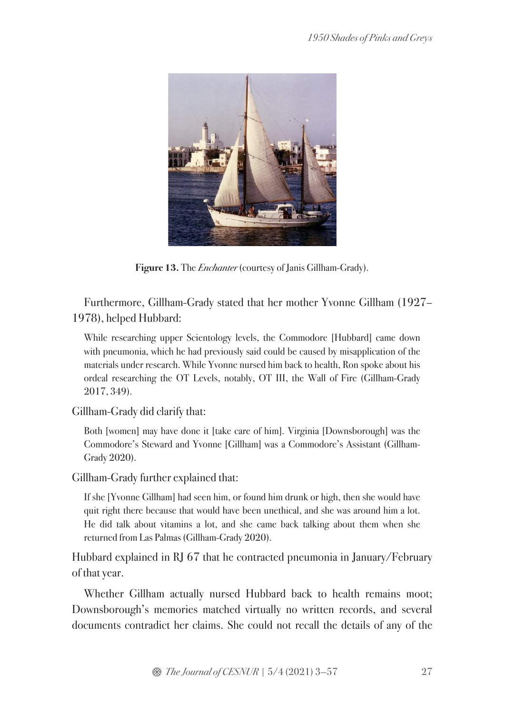

**Figure 13.** The *Enchanter* (courtesy of Janis Gillham-Grady).

Furthermore, Gillham-Grady stated that her mother Yvonne Gillham (1927– 1978), helped Hubbard:

While researching upper Scientology levels, the Commodore [Hubbard] came down with pneumonia, which he had previously said could be caused by misapplication of the materials under research. While Yvonne nursed him back to health, Ron spoke about his ordeal researching the OT Levels, notably, OT III, the Wall of Fire (Gillham-Grady 2017, 349).

Gillham-Grady did clarify that:

Both [women] may have done it [take care of him]. Virginia [Downsborough] was the Commodore's Steward and Yvonne [Gillham] was a Commodore's Assistant (Gillham-Grady 2020).

Gillham-Grady further explained that:

If she [Yvonne Gillham] had seen him, or found him drunk or high, then she would have quit right there because that would have been unethical, and she was around him a lot. He did talk about vitamins a lot, and she came back talking about them when she returned from Las Palmas (Gillham-Grady 2020).

Hubbard explained in RJ 67 that he contracted pneumonia in January/February of that year.

Whether Gillham actually nursed Hubbard back to health remains moot; Downsborough's memories matched virtually no written records, and several documents contradict her claims. She could not recall the details of any of the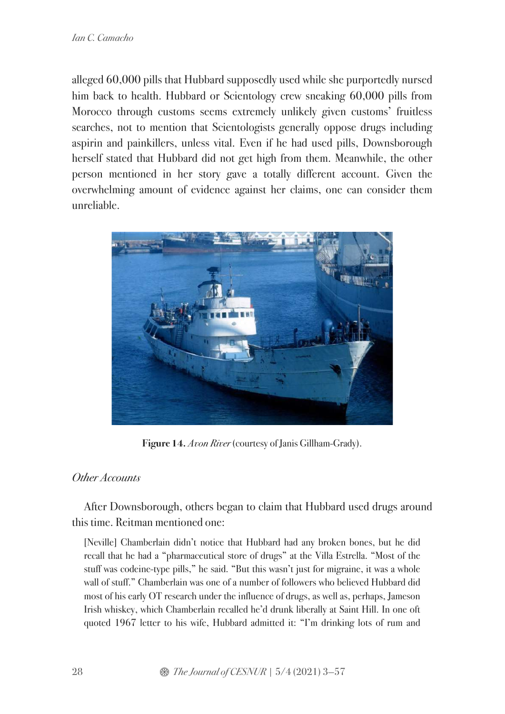alleged 60,000 pills that Hubbard supposedly used while she purportedly nursed him back to health. Hubbard or Scientology crew sneaking 60,000 pills from Morocco through customs seems extremely unlikely given customs' fruitless searches, not to mention that Scientologists generally oppose drugs including aspirin and painkillers, unless vital. Even if he had used pills, Downsborough herself stated that Hubbard did not get high from them. Meanwhile, the other person mentioned in her story gave a totally different account. Given the overwhelming amount of evidence against her claims, one can consider them unreliable.



**Figure 14.** *Avon River* (courtesy of Janis Gillham-Grady).

## *Other Accounts*

After Downsborough, others began to claim that Hubbard used drugs around this time. Reitman mentioned one:

[Neville] Chamberlain didn't notice that Hubbard had any broken bones, but he did recall that he had a "pharmaceutical store of drugs" at the Villa Estrella. "Most of the stuff was codeine-type pills," he said. "But this wasn't just for migraine, it was a whole wall of stuff." Chamberlain was one of a number of followers who believed Hubbard did most of his early OT research under the influence of drugs, as well as, perhaps, Jameson Irish whiskey, which Chamberlain recalled he'd drunk liberally at Saint Hill. In one oft quoted 1967 letter to his wife, Hubbard admitted it: "I'm drinking lots of rum and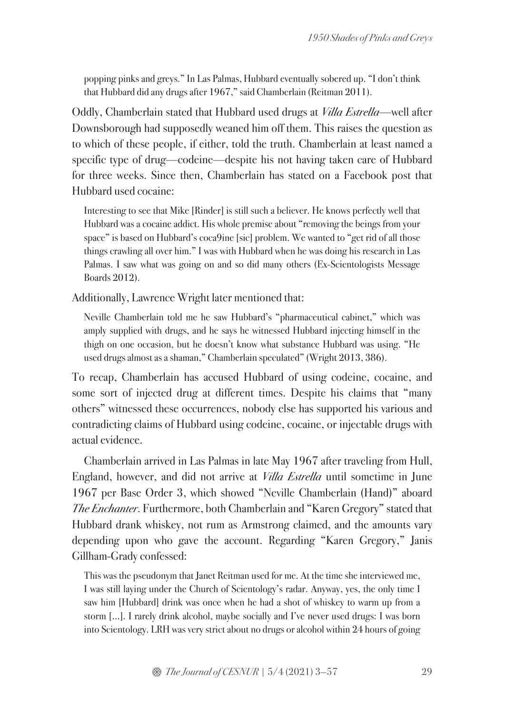popping pinks and greys." In Las Palmas, Hubbard eventually sobered up. "I don't think that Hubbard did any drugs after 1967," said Chamberlain (Reitman 2011).

Oddly, Chamberlain stated that Hubbard used drugs at *Villa Estrella*—well after Downsborough had supposedly weaned him off them. This raises the question as to which of these people, if either, told the truth. Chamberlain at least named a specific type of drug—codeine—despite his not having taken care of Hubbard for three weeks. Since then, Chamberlain has stated on a Facebook post that Hubbard used cocaine:

Interesting to see that Mike [Rinder] is still such a believer. He knows perfectly well that Hubbard was a cocaine addict. His whole premise about "removing the beings from your space" is based on Hubbard's coca9ine [sic] problem. We wanted to "get rid of all those things crawling all over him." I was with Hubbard when he was doing his research in Las Palmas. I saw what was going on and so did many others (Ex-Scientologists Message Boards 2012).

Additionally, Lawrence Wright later mentioned that:

Neville Chamberlain told me he saw Hubbard's "pharmaceutical cabinet," which was amply supplied with drugs, and he says he witnessed Hubbard injecting himself in the thigh on one occasion, but he doesn't know what substance Hubbard was using. "He used drugs almost as a shaman," Chamberlain speculated" (Wright 2013, 386).

To recap, Chamberlain has accused Hubbard of using codeine, cocaine, and some sort of injected drug at different times. Despite his claims that "many others" witnessed these occurrences, nobody else has supported his various and contradicting claims of Hubbard using codeine, cocaine, or injectable drugs with actual evidence.

Chamberlain arrived in Las Palmas in late May 1967 after traveling from Hull, England, however, and did not arrive at *Villa Estrella* until sometime in June 1967 per Base Order 3, which showed "Neville Chamberlain (Hand)" aboard *The Enchanter*. Furthermore, both Chamberlain and "Karen Gregory" stated that Hubbard drank whiskey, not rum as Armstrong claimed, and the amounts vary depending upon who gave the account. Regarding "Karen Gregory," Janis Gillham-Grady confessed:

This was the pseudonym that Janet Reitman used for me. At the time she interviewed me, I was still laying under the Church of Scientology's radar. Anyway, yes, the only time I saw him [Hubbard] drink was once when he had a shot of whiskey to warm up from a storm […]. I rarely drink alcohol, maybe socially and I've never used drugs: I was born into Scientology. LRH was very strict about no drugs or alcohol within 24 hours of going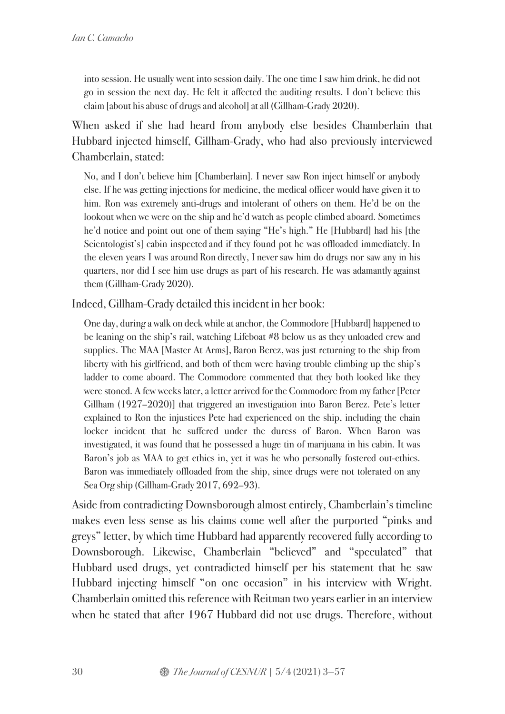into session. He usually went into session daily. The one time I saw him drink, he did not go in session the next day. He felt it affected the auditing results. I don't believe this claim [about his abuse of drugs and alcohol] at all (Gillham-Grady 2020).

When asked if she had heard from anybody else besides Chamberlain that Hubbard injected himself, Gillham-Grady, who had also previously interviewed Chamberlain, stated:

No, and I don't believe him [Chamberlain]. I never saw Ron inject himself or anybody else. If he was getting injections for medicine, the medical officer would have given it to him. Ron was extremely anti-drugs and intolerant of others on them. He'd be on the lookout when we were on the ship and he'd watch as people climbed aboard. Sometimes he'd notice and point out one of them saying "He's high." He [Hubbard] had his [the Scientologist's] cabin inspected and if they found pot he was offloaded immediately. In the eleven years I was around Ron directly, I never saw him do drugs nor saw any in his quarters, nor did I see him use drugs as part of his research. He was adamantly against them (Gillham-Grady 2020).

Indeed, Gillham-Grady detailed this incident in her book:

One day, during a walk on deck while at anchor, the Commodore [Hubbard] happened to be leaning on the ship's rail, watching Lifeboat #8 below us as they unloaded crew and supplies. The MAA [Master At Arms], Baron Berez, was just returning to the ship from liberty with his girlfriend, and both of them were having trouble climbing up the ship's ladder to come aboard. The Commodore commented that they both looked like they were stoned. A few weeks later, a letter arrived for the Commodore from my father [Peter Gillham (1927–2020)] that triggered an investigation into Baron Berez. Pete's letter explained to Ron the injustices Pete had experienced on the ship, including the chain locker incident that he suffered under the duress of Baron. When Baron was investigated, it was found that he possessed a huge tin of marijuana in his cabin. It was Baron's job as MAA to get ethics in, yet it was he who personally fostered out-ethics. Baron was immediately offloaded from the ship, since drugs were not tolerated on any Sea Org ship (Gillham-Grady 2017, 692–93).

Aside from contradicting Downsborough almost entirely, Chamberlain's timeline makes even less sense as his claims come well after the purported "pinks and greys" letter, by which time Hubbard had apparently recovered fully according to Downsborough. Likewise, Chamberlain "believed" and "speculated" that Hubbard used drugs, yet contradicted himself per his statement that he saw Hubbard injecting himself "on one occasion" in his interview with Wright. Chamberlain omitted this reference with Reitman two years earlier in an interview when he stated that after 1967 Hubbard did not use drugs. Therefore, without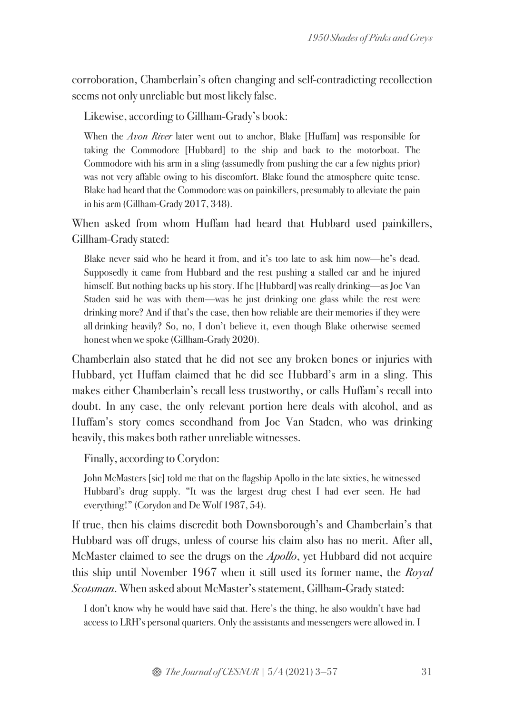corroboration, Chamberlain's often changing and self-contradicting recollection seems not only unreliable but most likely false.

Likewise, according to Gillham-Grady's book:

When the *Avon River* later went out to anchor, Blake [Huffam] was responsible for taking the Commodore [Hubbard] to the ship and back to the motorboat. The Commodore with his arm in a sling (assumedly from pushing the car a few nights prior) was not very affable owing to his discomfort. Blake found the atmosphere quite tense. Blake had heard that the Commodore was on painkillers, presumably to alleviate the pain in his arm (Gillham-Grady 2017, 348).

When asked from whom Huffam had heard that Hubbard used painkillers, Gillham-Grady stated:

Blake never said who he heard it from, and it's too late to ask him now—he's dead. Supposedly it came from Hubbard and the rest pushing a stalled car and he injured himself. But nothing backs up his story. If he [Hubbard] was really drinking—as Joe Van Staden said he was with them—was he just drinking one glass while the rest were drinking more? And if that's the case, then how reliable are their memories if they were all drinking heavily? So, no, I don't believe it, even though Blake otherwise seemed honest when we spoke (Gillham-Grady 2020).

Chamberlain also stated that he did not see any broken bones or injuries with Hubbard, yet Huffam claimed that he did see Hubbard's arm in a sling. This makes either Chamberlain's recall less trustworthy, or calls Huffam's recall into doubt. In any case, the only relevant portion here deals with alcohol, and as Huffam's story comes secondhand from Joe Van Staden, who was drinking heavily, this makes both rather unreliable witnesses.

Finally, according to Corydon:

John McMasters [sic] told me that on the flagship Apollo in the late sixties, he witnessed Hubbard's drug supply. "It was the largest drug chest I had ever seen. He had everything!" (Corydon and De Wolf 1987, 54).

If true, then his claims discredit both Downsborough's and Chamberlain's that Hubbard was off drugs, unless of course his claim also has no merit. After all, McMaster claimed to see the drugs on the *Apollo*, yet Hubbard did not acquire this ship until November 1967 when it still used its former name, the *Royal Scotsman*. When asked about McMaster's statement, Gillham-Grady stated:

I don't know why he would have said that. Here's the thing, he also wouldn't have had access to LRH's personal quarters. Only the assistants and messengers were allowed in. I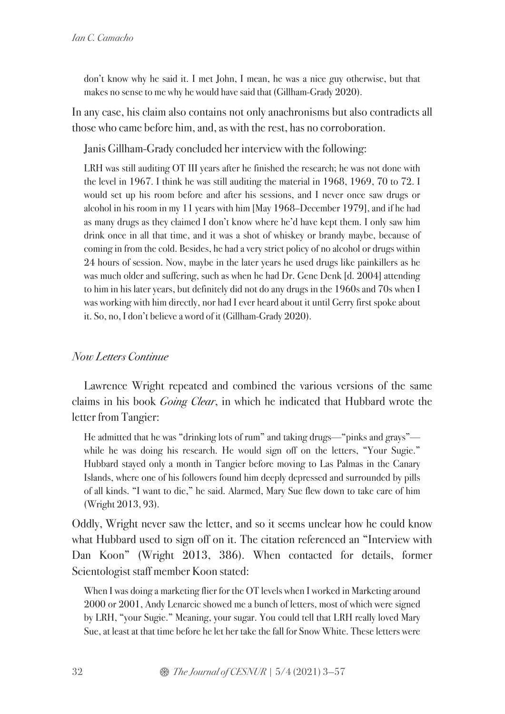don't know why he said it. I met John, I mean, he was a nice guy otherwise, but that makes no sense to me why he would have said that (Gillham-Grady 2020).

In any case, his claim also contains not only anachronisms but also contradicts all those who came before him, and, as with the rest, has no corroboration.

Janis Gillham-Grady concluded her interview with the following:

LRH was still auditing OT III years after he finished the research; he was not done with the level in 1967. I think he was still auditing the material in 1968, 1969, 70 to 72. I would set up his room before and after his sessions, and I never once saw drugs or alcohol in his room in my 11 years with him [May 1968–December 1979], and if he had as many drugs as they claimed I don't know where he'd have kept them. I only saw him drink once in all that time, and it was a shot of whiskey or brandy maybe, because of coming in from the cold. Besides, he had a very strict policy of no alcohol or drugs within 24 hours of session. Now, maybe in the later years he used drugs like painkillers as he was much older and suffering, such as when he had Dr. Gene Denk [d. 2004] attending to him in his later years, but definitely did not do any drugs in the 1960s and 70s when I was working with him directly, nor had I ever heard about it until Gerry first spoke about it. So, no, I don't believe a word of it (Gillham-Grady 2020).

### *Now Letters Continue*

Lawrence Wright repeated and combined the various versions of the same claims in his book *Going Clear*, in which he indicated that Hubbard wrote the letter from Tangier:

He admitted that he was "drinking lots of rum" and taking drugs—"pinks and grays" while he was doing his research. He would sign off on the letters, "Your Sugie." Hubbard stayed only a month in Tangier before moving to Las Palmas in the Canary Islands, where one of his followers found him deeply depressed and surrounded by pills of all kinds. "I want to die," he said. Alarmed, Mary Sue flew down to take care of him (Wright 2013, 93).

Oddly, Wright never saw the letter, and so it seems unclear how he could know what Hubbard used to sign off on it. The citation referenced an "Interview with Dan Koon" (Wright 2013, 386). When contacted for details, former Scientologist staff member Koon stated:

When I was doing a marketing flier for the OT levels when I worked in Marketing around 2000 or 2001, Andy Lenarcic showed me a bunch of letters, most of which were signed by LRH, "your Sugie." Meaning, your sugar. You could tell that LRH really loved Mary Sue, at least at that time before he let her take the fall for Snow White. These letters were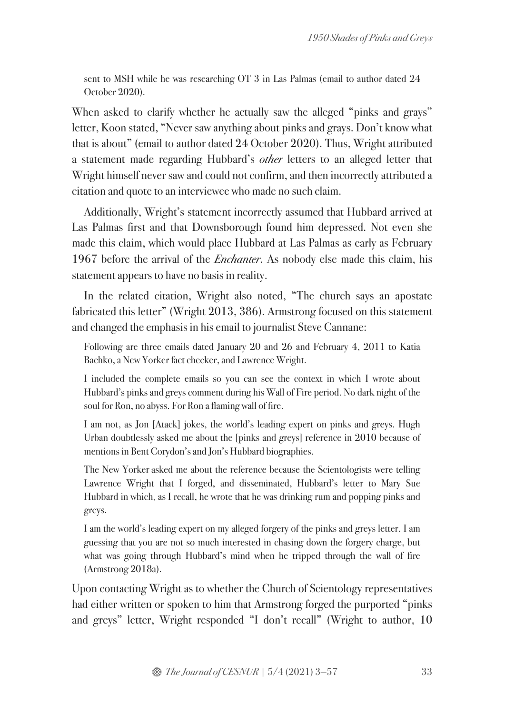sent to MSH while he was researching OT 3 in Las Palmas (email to author dated 24 October 2020).

When asked to clarify whether he actually saw the alleged "pinks and grays" letter, Koon stated, "Never saw anything about pinks and grays. Don't know what that is about" (email to author dated 24 October 2020). Thus, Wright attributed a statement made regarding Hubbard's *other* letters to an alleged letter that Wright himself never saw and could not confirm, and then incorrectly attributed a citation and quote to an interviewee who made no such claim.

Additionally, Wright's statement incorrectly assumed that Hubbard arrived at Las Palmas first and that Downsborough found him depressed. Not even she made this claim, which would place Hubbard at Las Palmas as early as February 1967 before the arrival of the *Enchanter*. As nobody else made this claim, his statement appears to have no basis in reality.

In the related citation, Wright also noted, "The church says an apostate fabricated this letter" (Wright 2013, 386). Armstrong focused on this statement and changed the emphasis in his email to journalist Steve Cannane:

Following are three emails dated January 20 and 26 and February 4, 2011 to Katia Bachko, a New Yorker fact checker, and Lawrence Wright.

I included the complete emails so you can see the context in which I wrote about Hubbard's pinks and greys comment during his Wall of Fire period. No dark night of the soul for Ron, no abyss. For Ron a flaming wall of fire.

I am not, as Jon [Atack] jokes, the world's leading expert on pinks and greys. Hugh Urban doubtlessly asked me about the [pinks and greys] reference in 2010 because of mentions in Bent Corydon's and Jon's Hubbard biographies.

The New Yorkerasked me about the reference because the Scientologists were telling Lawrence Wright that I forged, and disseminated, Hubbard's letter to Mary Sue Hubbard in which, as I recall, he wrote that he was drinking rum and popping pinks and greys.

I am the world's leading expert on my alleged forgery of the pinks and greys letter. I am guessing that you are not so much interested in chasing down the forgery charge, but what was going through Hubbard's mind when he tripped through the wall of fire (Armstrong 2018a).

Upon contacting Wright as to whether the Church of Scientology representatives had either written or spoken to him that Armstrong forged the purported "pinks and greys" letter, Wright responded "I don't recall" (Wright to author, 10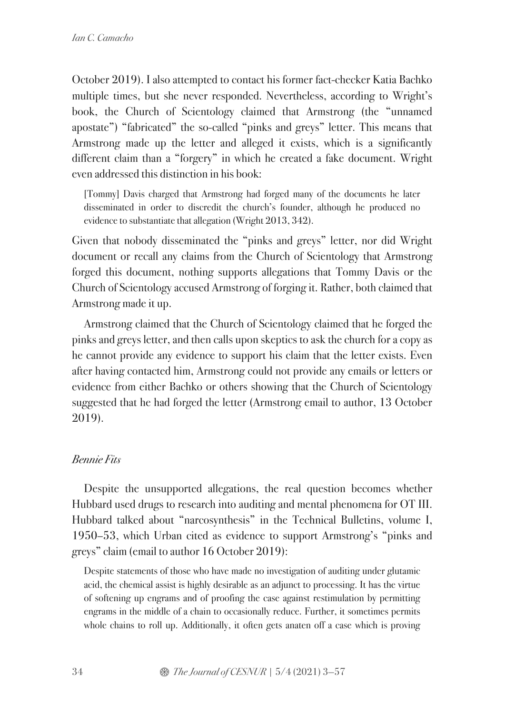October 2019). I also attempted to contact his former fact-checker Katia Bachko multiple times, but she never responded. Nevertheless, according to Wright's book, the Church of Scientology claimed that Armstrong (the "unnamed apostate") "fabricated" the so-called "pinks and greys" letter. This means that Armstrong made up the letter and alleged it exists, which is a significantly different claim than a "forgery" in which he created a fake document. Wright even addressed this distinction in his book:

[Tommy] Davis charged that Armstrong had forged many of the documents he later disseminated in order to discredit the church's founder, although he produced no evidence to substantiate that allegation (Wright 2013, 342).

Given that nobody disseminated the "pinks and greys" letter, nor did Wright document or recall any claims from the Church of Scientology that Armstrong forged this document, nothing supports allegations that Tommy Davis or the Church of Scientology accused Armstrong of forging it. Rather, both claimed that Armstrong made it up.

Armstrong claimed that the Church of Scientology claimed that he forged the pinks and greys letter, and then calls upon skeptics to ask the church for a copy as he cannot provide any evidence to support his claim that the letter exists. Even after having contacted him, Armstrong could not provide any emails or letters or evidence from either Bachko or others showing that the Church of Scientology suggested that he had forged the letter (Armstrong email to author, 13 October 2019).

## *Bennie Fits*

Despite the unsupported allegations, the real question becomes whether Hubbard used drugs to research into auditing and mental phenomena for OT III. Hubbard talked about "narcosynthesis" in the Technical Bulletins, volume I, 1950–53, which Urban cited as evidence to support Armstrong's "pinks and greys" claim (email to author 16 October 2019):

Despite statements of those who have made no investigation of auditing under glutamic acid, the chemical assist is highly desirable as an adjunct to processing. It has the virtue of softening up engrams and of proofing the case against restimulation by permitting engrams in the middle of a chain to occasionally reduce. Further, it sometimes permits whole chains to roll up. Additionally, it often gets anaten off a case which is proving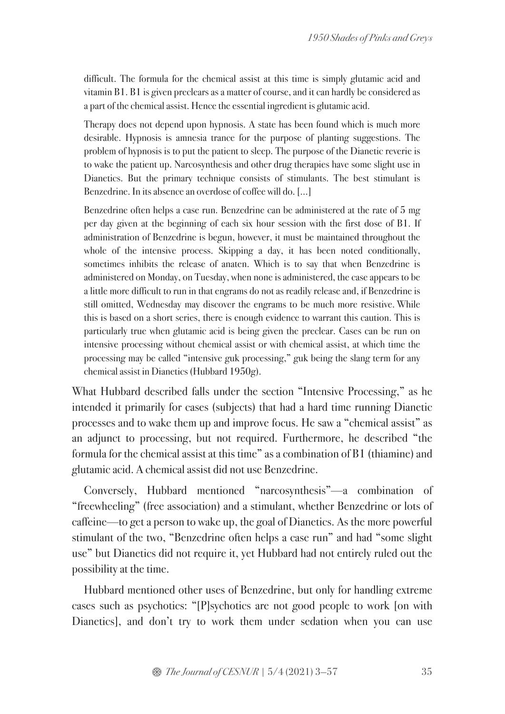difficult. The formula for the chemical assist at this time is simply glutamic acid and vitamin B1. B1 is given preclears as a matter of course, and it can hardly be considered as a part of the chemical assist. Hence the essential ingredient is glutamic acid.

Therapy does not depend upon hypnosis. A state has been found which is much more desirable. Hypnosis is amnesia trance for the purpose of planting suggestions. The problem of hypnosis is to put the patient to sleep. The purpose of the Dianetic reverie is to wake the patient up. Narcosynthesis and other drug therapies have some slight use in Dianetics. But the primary technique consists of stimulants. The best stimulant is Benzedrine. In its absence an overdose of coffee will do. [...]

Benzedrine often helps a case run. Benzedrine can be administered at the rate of 5 mg per day given at the beginning of each six hour session with the first dose of B1. If administration of Benzedrine is begun, however, it must be maintained throughout the whole of the intensive process. Skipping a day, it has been noted conditionally, sometimes inhibits the release of anaten. Which is to say that when Benzedrine is administered on Monday, on Tuesday, when none is administered, the case appears to be a little more difficult to run in that engrams do not as readily release and, if Benzedrine is still omitted, Wednesday may discover the engrams to be much more resistive. While this is based on a short series, there is enough evidence to warrant this caution. This is particularly true when glutamic acid is being given the preclear. Cases can be run on intensive processing without chemical assist or with chemical assist, at which time the processing may be called "intensive guk processing," guk being the slang term for any chemical assist in Dianetics (Hubbard 1950g).

What Hubbard described falls under the section "Intensive Processing," as he intended it primarily for cases (subjects) that had a hard time running Dianetic processes and to wake them up and improve focus. He saw a "chemical assist" as an adjunct to processing, but not required. Furthermore, he described "the formula for the chemical assist at this time" as a combination of B1 (thiamine) and glutamic acid. A chemical assist did not use Benzedrine.

Conversely, Hubbard mentioned "narcosynthesis"—a combination of "freewheeling" (free association) and a stimulant, whether Benzedrine or lots of caffeine—to get a person to wake up, the goal of Dianetics. As the more powerful stimulant of the two, "Benzedrine often helps a case run" and had "some slight use" but Dianetics did not require it, yet Hubbard had not entirely ruled out the possibility at the time.

Hubbard mentioned other uses of Benzedrine, but only for handling extreme cases such as psychotics: "[P]sychotics are not good people to work [on with Dianetics], and don't try to work them under sedation when you can use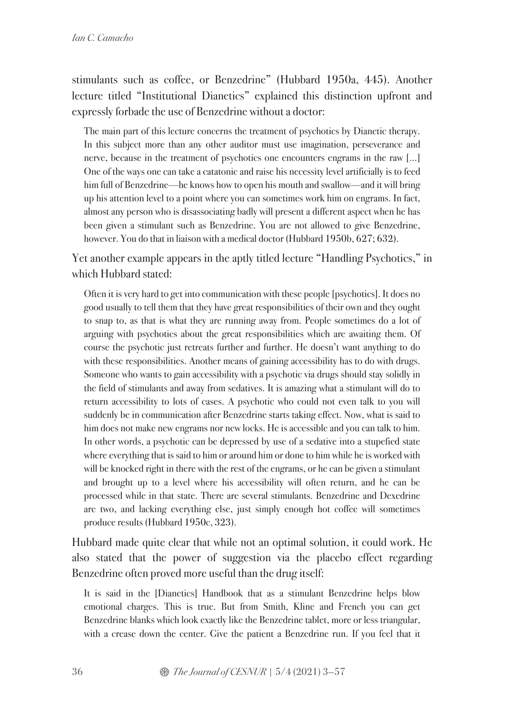stimulants such as coffee, or Benzedrine" (Hubbard 1950a, 445). Another lecture titled "Institutional Dianetics" explained this distinction upfront and expressly forbade the use of Benzedrine without a doctor:

The main part of this lecture concerns the treatment of psychotics by Dianetic therapy. In this subject more than any other auditor must use imagination, perseverance and nerve, because in the treatment of psychotics one encounters engrams in the raw […] One of the ways one can take a catatonic and raise his necessity level artificially is to feed him full of Benzedrine—he knows how to open his mouth and swallow—and it will bring up his attention level to a point where you can sometimes work him on engrams. In fact, almost any person who is disassociating badly will present a different aspect when he has been given a stimulant such as Benzedrine. You are not allowed to give Benzedrine, however. You do that in liaison with a medical doctor (Hubbard 1950b, 627; 632).

Yet another example appears in the aptly titled lecture "Handling Psychotics," in which Hubbard stated:

Often it is very hard to get into communication with these people [psychotics]. It does no good usually to tell them that they have great responsibilities of their own and they ought to snap to, as that is what they are running away from. People sometimes do a lot of arguing with psychotics about the great responsibilities which are awaiting them. Of course the psychotic just retreats further and further. He doesn't want anything to do with these responsibilities. Another means of gaining accessibility has to do with drugs. Someone who wants to gain accessibility with a psychotic via drugs should stay solidly in the field of stimulants and away from sedatives. It is amazing what a stimulant will do to return accessibility to lots of cases. A psychotic who could not even talk to you will suddenly be in communication after Benzedrine starts taking effect. Now, what is said to him does not make new engrams nor new locks. He is accessible and you can talk to him. In other words, a psychotic can be depressed by use of a sedative into a stupefied state where everything that is said to him or around him or done to him while he is worked with will be knocked right in there with the rest of the engrams, or he can be given a stimulant and brought up to a level where his accessibility will often return, and he can be processed while in that state. There are several stimulants. Benzedrine and Dexedrine are two, and lacking everything else, just simply enough hot coffee will sometimes produce results (Hubbard 1950c, 323).

Hubbard made quite clear that while not an optimal solution, it could work. He also stated that the power of suggestion via the placebo effect regarding Benzedrine often proved more useful than the drug itself:

It is said in the [Dianetics] Handbook that as a stimulant Benzedrine helps blow emotional charges. This is true. But from Smith, Kline and French you can get Benzedrine blanks which look exactly like the Benzedrine tablet, more or less triangular, with a crease down the center. Give the patient a Benzedrine run. If you feel that it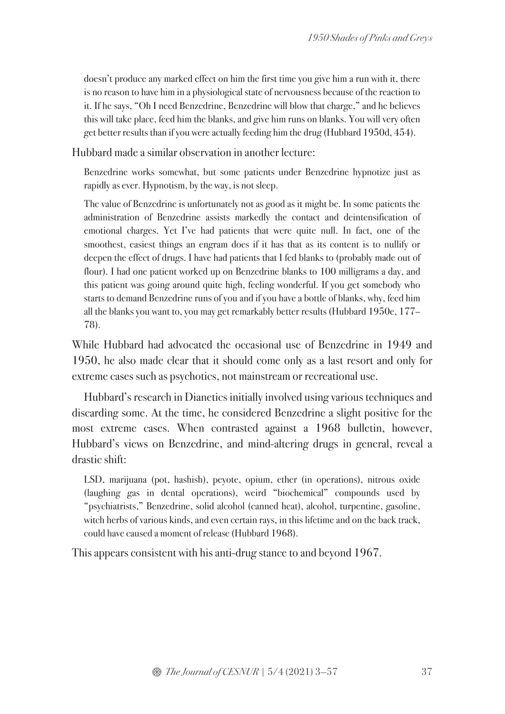doesn't produce any marked effect on him the first time you give him a run with it, there is no reason to have him in a physiological state of nervousness because of the reaction to it. If he says, "Oh I need Benzedrine, Benzedrine will blow that charge," and he believes this will take place, feed him the blanks, and give him runs on blanks. You will very often get better results than if you were actually feeding him the drug (Hubbard 1950d, 454).

Hubbard made a similar observation in another lecture:

Benzedrine works somewhat, but some patients under Benzedrine hypnotize just as rapidly as ever. Hypnotism, by the way, is not sleep.

The value of Benzedrine is unfortunately not as good as it might be. In some patients the administration of Benzedrine assists markedly the contact and deintensification of emotional charges. Yet I've had patients that were quite null. In fact, one of the smoothest, easiest things an engram does if it has that as its content is to nullify or deepen the effect of drugs. I have had patients that I fed blanks to (probably made out of flour). I had one patient worked up on Benzedrine blanks to 100 milligrams a day, and this patient was going around quite high, feeling wonderful. If you get somebody who starts to demand Benzedrine runs of you and if you have a bottle of blanks, why, feed him all the blanks you want to, you may get remarkably better results (Hubbard 1950e, 177– 78).

While Hubbard had advocated the occasional use of Benzedrine in 1949 and 1950, he also made clear that it should come only as a last resort and only for extreme cases such as psychotics, not mainstream or recreational use.

Hubbard's research in Dianetics initially involved using various techniques and discarding some. At the time, he considered Benzedrine a slight positive for the most extreme cases. When contrasted against a 1968 bulletin, however, Hubbard's views on Benzedrine, and mind-altering drugs in general, reveal a drastic shift:

LSD, marijuana (pot, hashish), peyote, opium, ether (in operations), nitrous oxide (laughing gas in dental operations), weird "biochemical" compounds used by "psychiatrists," Benzedrine, solid alcohol (canned heat), alcohol, turpentine, gasoline, witch herbs of various kinds, and even certain rays, in this lifetime and on the back track, could have caused a moment of release (Hubbard 1968).

This appears consistent with his anti-drug stance to and beyond 1967.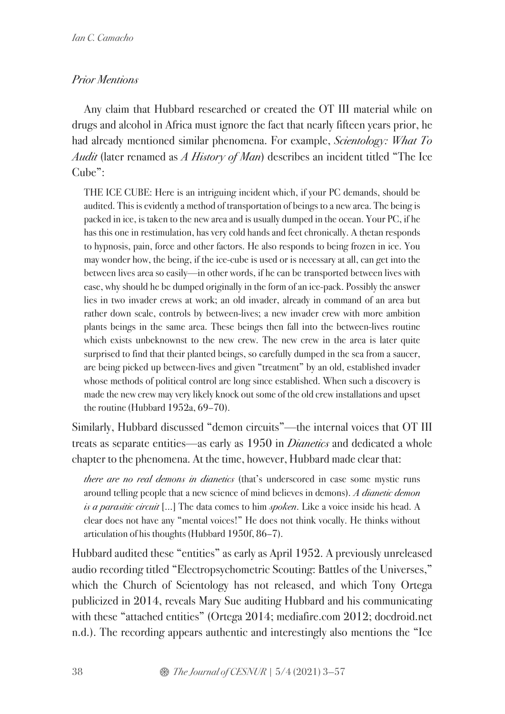## *Prior Mentions*

Any claim that Hubbard researched or created the OT III material while on drugs and alcohol in Africa must ignore the fact that nearly fifteen years prior, he had already mentioned similar phenomena. For example, *Scientology: What To Audit* (later renamed as *A History of Man*) describes an incident titled "The Ice Cube":

THE ICE CUBE: Here is an intriguing incident which, if your PC demands, should be audited. This is evidently a method of transportation of beings to a new area. The being is packed in ice, is taken to the new area and is usually dumped in the ocean. Your PC, if he has this one in restimulation, has very cold hands and feet chronically. A thetan responds to hypnosis, pain, force and other factors. He also responds to being frozen in ice. You may wonder how, the being, if the ice-cube is used or is necessary at all, can get into the between lives area so easily—in other words, if he can be transported between lives with ease, why should he be dumped originally in the form of an ice-pack. Possibly the answer lies in two invader crews at work; an old invader, already in command of an area but rather down scale, controls by between-lives; a new invader crew with more ambition plants beings in the same area. These beings then fall into the between-lives routine which exists unbeknownst to the new crew. The new crew in the area is later quite surprised to find that their planted beings, so carefully dumped in the sea from a saucer, are being picked up between-lives and given "treatment" by an old, established invader whose methods of political control are long since established. When such a discovery is made the new crew may very likely knock out some of the old crew installations and upset the routine (Hubbard 1952a, 69–70).

Similarly, Hubbard discussed "demon circuits"—the internal voices that OT III treats as separate entities—as early as 1950 in *Dianetics* and dedicated a whole chapter to the phenomena. At the time, however, Hubbard made clear that:

*there are no real demons in dianetics* (that's underscored in case some mystic runs around telling people that a new science of mind believes in demons). *A dianetic demon is a parasitic circuit* […] The data comes to him *spoken*. Like a voice inside his head. A clear does not have any "mental voices!" He does not think vocally. He thinks without articulation of his thoughts (Hubbard 1950f, 86–7).

Hubbard audited these "entities" as early as April 1952. A previously unreleased audio recording titled "Electropsychometric Scouting: Battles of the Universes," which the Church of Scientology has not released, and which Tony Ortega publicized in 2014, reveals Mary Sue auditing Hubbard and his communicating with these "attached entities" (Ortega 2014; mediafire.com 2012; docdroid.net n.d.). The recording appears authentic and interestingly also mentions the "Ice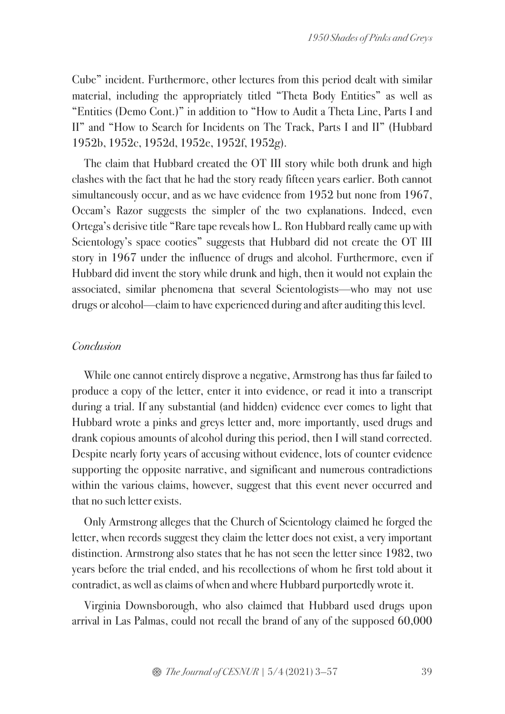Cube" incident. Furthermore, other lectures from this period dealt with similar material, including the appropriately titled "Theta Body Entities" as well as "Entities (Demo Cont.)" in addition to "How to Audit a Theta Line, Parts I and II" and "How to Search for Incidents on The Track, Parts I and II" (Hubbard 1952b, 1952c, 1952d, 1952e, 1952f, 1952g).

The claim that Hubbard created the OT III story while both drunk and high clashes with the fact that he had the story ready fifteen years earlier. Both cannot simultaneously occur, and as we have evidence from 1952 but none from 1967, Occam's Razor suggests the simpler of the two explanations. Indeed, even Ortega's derisive title "Rare tape reveals how L. Ron Hubbard really came up with Scientology's space cooties" suggests that Hubbard did not create the OT III story in 1967 under the influence of drugs and alcohol. Furthermore, even if Hubbard did invent the story while drunk and high, then it would not explain the associated, similar phenomena that several Scientologists—who may not use drugs or alcohol—claim to have experienced during and after auditing this level.

#### *Conclusion*

While one cannot entirely disprove a negative, Armstrong has thus far failed to produce a copy of the letter, enter it into evidence, or read it into a transcript during a trial. If any substantial (and hidden) evidence ever comes to light that Hubbard wrote a pinks and greys letter and, more importantly, used drugs and drank copious amounts of alcohol during this period, then I will stand corrected. Despite nearly forty years of accusing without evidence, lots of counter evidence supporting the opposite narrative, and significant and numerous contradictions within the various claims, however, suggest that this event never occurred and that no such letter exists.

Only Armstrong alleges that the Church of Scientology claimed he forged the letter, when records suggest they claim the letter does not exist, a very important distinction. Armstrong also states that he has not seen the letter since 1982, two years before the trial ended, and his recollections of whom he first told about it contradict, as well as claims of when and where Hubbard purportedly wrote it.

Virginia Downsborough, who also claimed that Hubbard used drugs upon arrival in Las Palmas, could not recall the brand of any of the supposed 60,000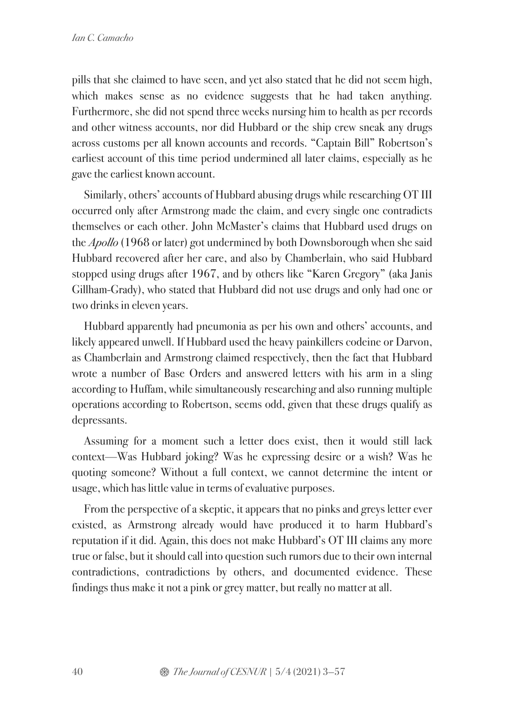pills that she claimed to have seen, and yet also stated that he did not seem high, which makes sense as no evidence suggests that he had taken anything. Furthermore, she did not spend three weeks nursing him to health as per records and other witness accounts, nor did Hubbard or the ship crew sneak any drugs across customs per all known accounts and records. "Captain Bill" Robertson's earliest account of this time period undermined all later claims, especially as he gave the earliest known account.

Similarly, others' accounts of Hubbard abusing drugs while researching OT III occurred only after Armstrong made the claim, and every single one contradicts themselves or each other. John McMaster's claims that Hubbard used drugs on the *Apollo* (1968 or later) got undermined by both Downsborough when she said Hubbard recovered after her care, and also by Chamberlain, who said Hubbard stopped using drugs after 1967, and by others like "Karen Gregory" (aka Janis Gillham-Grady), who stated that Hubbard did not use drugs and only had one or two drinks in eleven years.

Hubbard apparently had pneumonia as per his own and others' accounts, and likely appeared unwell. If Hubbard used the heavy painkillers codeine or Darvon, as Chamberlain and Armstrong claimed respectively, then the fact that Hubbard wrote a number of Base Orders and answered letters with his arm in a sling according to Huffam, while simultaneously researching and also running multiple operations according to Robertson, seems odd, given that these drugs qualify as depressants.

Assuming for a moment such a letter does exist, then it would still lack context—Was Hubbard joking? Was he expressing desire or a wish? Was he quoting someone? Without a full context, we cannot determine the intent or usage, which has little value in terms of evaluative purposes.

From the perspective of a skeptic, it appears that no pinks and greys letter ever existed, as Armstrong already would have produced it to harm Hubbard's reputation if it did. Again, this does not make Hubbard's OT III claims any more true or false, but it should call into question such rumors due to their own internal contradictions, contradictions by others, and documented evidence. These findings thus make it not a pink or grey matter, but really no matter at all.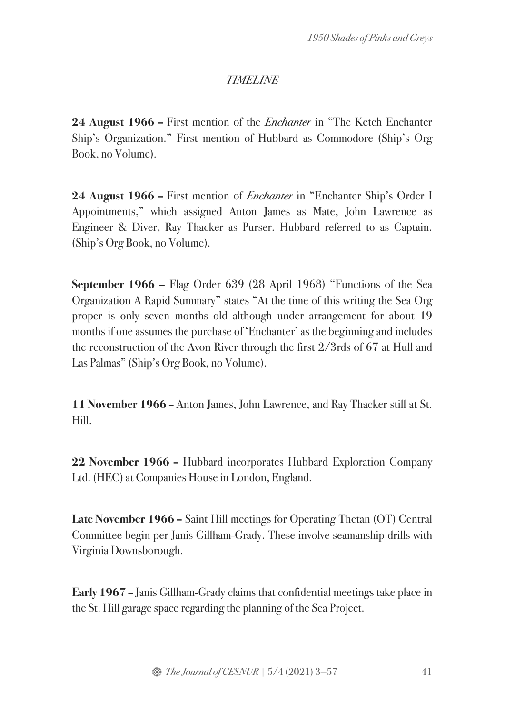# *TIMELINE*

**24 August 1966 –** First mention of the *Enchanter* in "The Ketch Enchanter Ship's Organization." First mention of Hubbard as Commodore (Ship's Org Book, no Volume).

**24 August 1966 –** First mention of *Enchanter* in "Enchanter Ship's Order I Appointments," which assigned Anton James as Mate, John Lawrence as Engineer & Diver, Ray Thacker as Purser. Hubbard referred to as Captain. (Ship's Org Book, no Volume).

**September 1966** – Flag Order 639 (28 April 1968) "Functions of the Sea Organization A Rapid Summary" states "At the time of this writing the Sea Org proper is only seven months old although under arrangement for about 19 months if one assumes the purchase of 'Enchanter' as the beginning and includes the reconstruction of the Avon River through the first 2/3rds of 67 at Hull and Las Palmas" (Ship's Org Book, no Volume).

**11 November 1966 –** Anton James, John Lawrence, and Ray Thacker still at St. Hill.

**22 November 1966 –** Hubbard incorporates Hubbard Exploration Company Ltd. (HEC) at Companies House in London, England.

**Late November 1966 –** Saint Hill meetings for Operating Thetan (OT) Central Committee begin per Janis Gillham-Grady. These involve seamanship drills with Virginia Downsborough.

**Early 1967 –** Janis Gillham-Grady claims that confidential meetings take place in the St. Hill garage space regarding the planning of the Sea Project.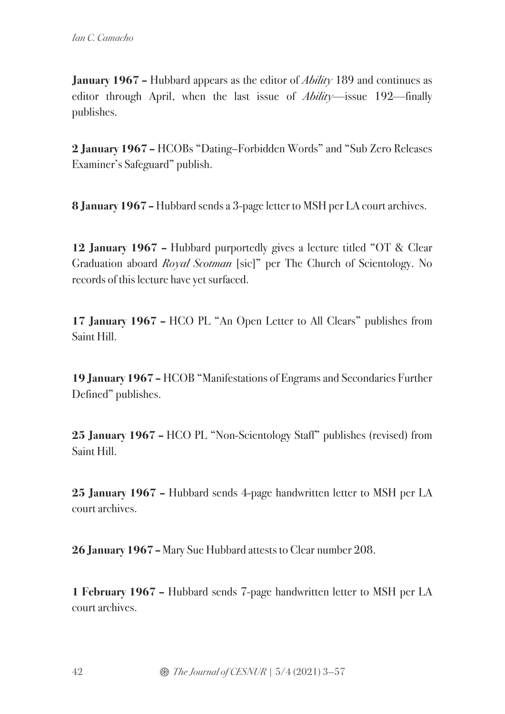**January 1967 –** Hubbard appears as the editor of *Ability* 189 and continues as editor through April, when the last issue of *Ability*—issue 192—finally publishes.

**2 January 1967 –** HCOBs "Dating–Forbidden Words" and "Sub Zero Releases Examiner's Safeguard" publish.

**8 January 1967 –** Hubbard sends a 3-page letter to MSH per LA court archives.

**12 January 1967 –** Hubbard purportedly gives a lecture titled "OT & Clear Graduation aboard *Royal Scotman* [sic]" per The Church of Scientology. No records of this lecture have yet surfaced.

**17 January 1967 –** HCO PL "An Open Letter to All Clears" publishes from Saint Hill.

**19 January 1967 –** HCOB "Manifestations of Engrams and Secondaries Further Defined" publishes.

**25 January 1967 –** HCO PL "Non-Scientology Staff" publishes (revised) from Saint Hill.

**25 January 1967 –** Hubbard sends 4-page handwritten letter to MSH per LA court archives.

**26 January 1967 –** Mary Sue Hubbard attests to Clear number 208.

**1 February 1967 –** Hubbard sends 7-page handwritten letter to MSH per LA court archives.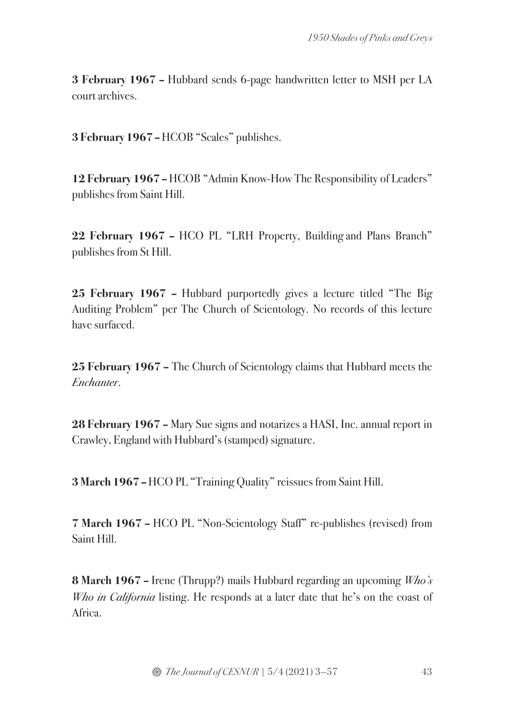**3 February 1967 –** Hubbard sends 6-page handwritten letter to MSH per LA court archives.

**3 February 1967 –** HCOB "Scales" publishes.

**12 February 1967 –** HCOB "Admin Know-How The Responsibility of Leaders" publishes from Saint Hill.

**22 February 1967 –** HCO PL "LRH Property, Building and Plans Branch" publishes from St Hill.

**25 February 1967 –** Hubbard purportedly gives a lecture titled "The Big Auditing Problem" per The Church of Scientology. No records of this lecture have surfaced.

**25 February 1967 –** The Church of Scientology claims that Hubbard meets the *Enchanter*.

**28 February 1967 –** Mary Sue signs and notarizes a HASI, Inc. annual report in Crawley, England with Hubbard's (stamped) signature.

**3 March 1967 –** HCO PL "Training Quality" reissues from Saint Hill.

**7 March 1967 –** HCO PL "Non-Scientology Staff" re-publishes (revised) from Saint Hill.

**8 March 1967 –** Irene (Thrupp?) mails Hubbard regarding an upcoming *Who's Who in California* listing. He responds at a later date that he's on the coast of Africa.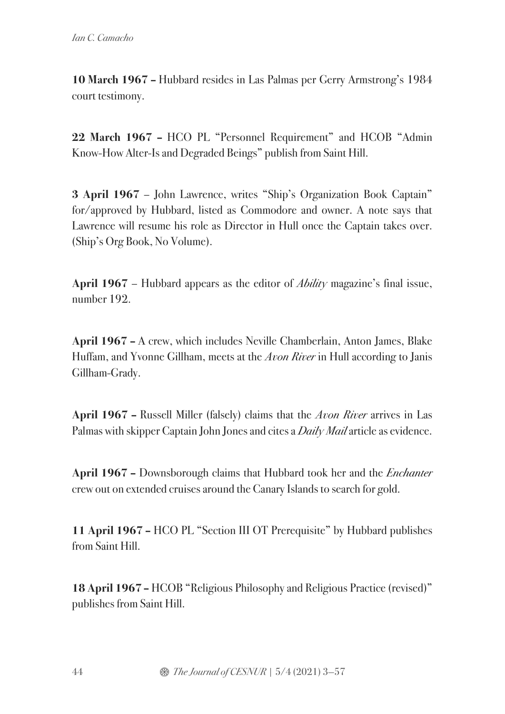**10 March 1967 –** Hubbard resides in Las Palmas per Gerry Armstrong's 1984 court testimony.

**22 March 1967 –** HCO PL "Personnel Requirement" and HCOB "Admin Know-How Alter-Is and Degraded Beings" publish from Saint Hill.

**3 April 1967** – John Lawrence, writes "Ship's Organization Book Captain" for/approved by Hubbard, listed as Commodore and owner. A note says that Lawrence will resume his role as Director in Hull once the Captain takes over. (Ship's Org Book, No Volume).

**April 1967** – Hubbard appears as the editor of *Ability* magazine's final issue, number 192.

**April 1967 –** A crew, which includes Neville Chamberlain, Anton James, Blake Huffam, and Yvonne Gillham, meets at the *Avon River* in Hull according to Janis Gillham-Grady.

**April 1967 –** Russell Miller (falsely) claims that the *Avon River* arrives in Las Palmas with skipper Captain John Jones and cites a *Daily Mail*article as evidence.

**April 1967 –** Downsborough claims that Hubbard took her and the *Enchanter* crew out on extended cruises around the Canary Islands to search for gold.

**11 April 1967 –** HCO PL "Section III OT Prerequisite" by Hubbard publishes from Saint Hill.

**18 April 1967 –** HCOB "Religious Philosophy and Religious Practice (revised)" publishes from Saint Hill.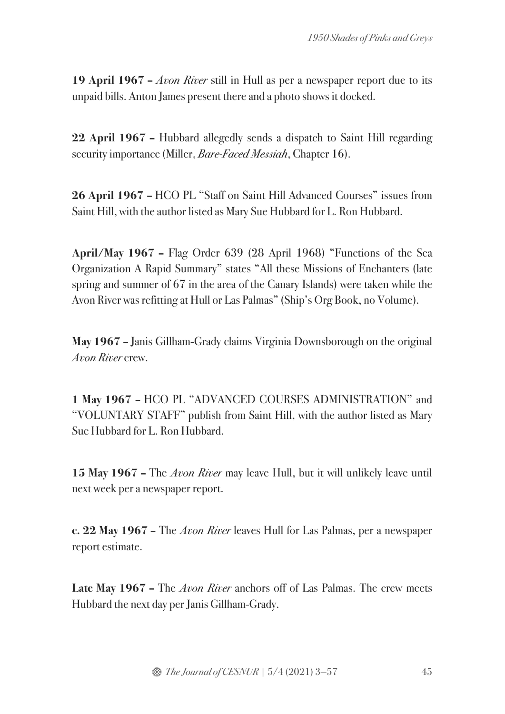**19 April 1967 –** *Avon River* still in Hull as per a newspaper report due to its unpaid bills. Anton James present there and a photo shows it docked.

**22 April 1967 –** Hubbard allegedly sends a dispatch to Saint Hill regarding security importance (Miller, *Bare-Faced Messiah*, Chapter 16).

**26 April 1967 –** HCO PL "Staff on Saint Hill Advanced Courses" issues from Saint Hill, with the author listed as Mary Sue Hubbard for L. Ron Hubbard.

**April/May 1967 –** Flag Order 639 (28 April 1968) "Functions of the Sea Organization A Rapid Summary" states "All these Missions of Enchanters (late spring and summer of 67 in the area of the Canary Islands) were taken while the Avon River was refitting at Hull or Las Palmas" (Ship's Org Book, no Volume).

**May 1967 –** Janis Gillham-Grady claims Virginia Downsborough on the original *Avon River* crew.

**1 May 1967 –** HCO PL "ADVANCED COURSES ADMINISTRATION" and "VOLUNTARY STAFF" publish from Saint Hill, with the author listed as Mary Sue Hubbard for L. Ron Hubbard.

**15 May 1967 –** The *Avon River* may leave Hull, but it will unlikely leave until next week per a newspaper report.

**c. 22 May 1967 –** The *Avon River* leaves Hull for Las Palmas, per a newspaper report estimate.

**Late May 1967 –** The *Avon River* anchors off of Las Palmas. The crew meets Hubbard the next day per Janis Gillham-Grady.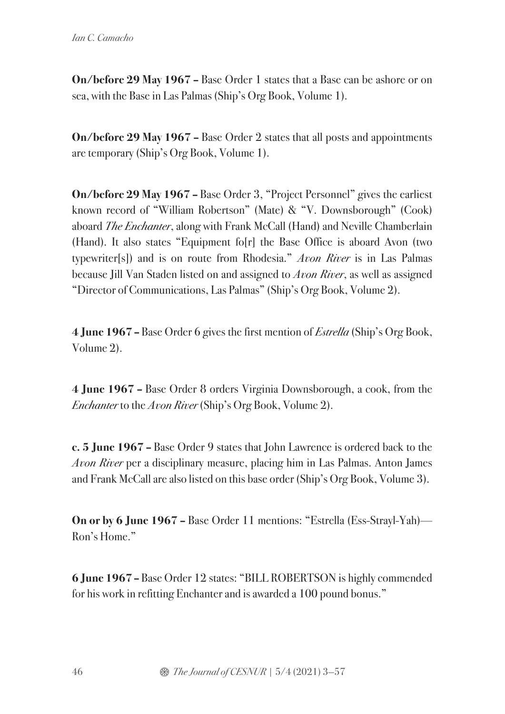**On/before 29 May 1967 –** Base Order 1 states that a Base can be ashore or on sea, with the Base in Las Palmas (Ship's Org Book, Volume 1).

**On/before 29 May 1967 –** Base Order 2 states that all posts and appointments are temporary (Ship's Org Book, Volume 1).

**On/before 29 May 1967 –** Base Order 3, "Project Personnel" gives the earliest known record of "William Robertson" (Mate) & "V. Downsborough" (Cook) aboard *The Enchanter*, along with Frank McCall (Hand) and Neville Chamberlain (Hand). It also states "Equipment fo[r] the Base Office is aboard Avon (two typewriter[s]) and is on route from Rhodesia." *Avon River* is in Las Palmas because Jill Van Staden listed on and assigned to *Avon River*, as well as assigned "Director of Communications, Las Palmas" (Ship's Org Book, Volume 2).

**4 June 1967 –** Base Order 6 gives the first mention of *Estrella* (Ship's Org Book, Volume 2).

**4 June 1967 –** Base Order 8 orders Virginia Downsborough, a cook, from the *Enchanter* to the *Avon River* (Ship's Org Book, Volume 2).

**c. 5 June 1967 –** Base Order 9 states that John Lawrence is ordered back to the *Avon River* per a disciplinary measure, placing him in Las Palmas. Anton James and Frank McCall are also listed on this base order (Ship's Org Book, Volume 3).

**On or by 6 June 1967 –** Base Order 11 mentions: "Estrella (Ess-Strayl-Yah)— Ron's Home."

**6 June 1967 –** Base Order 12 states: "BILL ROBERTSON is highly commended for his work in refitting Enchanter and is awarded a 100 pound bonus."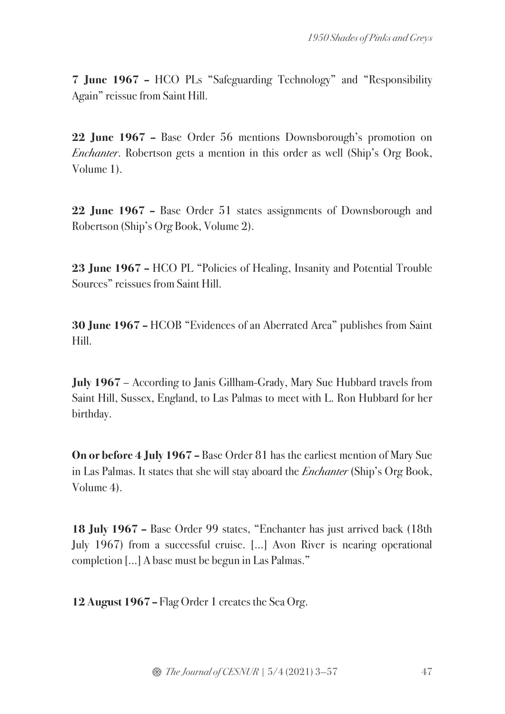**7 June 1967 –** HCO PLs "Safeguarding Technology" and "Responsibility Again" reissue from Saint Hill.

**22 June 1967 –** Base Order 56 mentions Downsborough's promotion on *Enchanter*. Robertson gets a mention in this order as well (Ship's Org Book, Volume 1).

**22 June 1967 –** Base Order 51 states assignments of Downsborough and Robertson (Ship's Org Book, Volume 2).

**23 June 1967 –** HCO PL "Policies of Healing, Insanity and Potential Trouble Sources" reissues from Saint Hill.

**30 June 1967 –** HCOB "Evidences of an Aberrated Area" publishes from Saint Hill.

**July 1967** – According to Janis Gillham-Grady, Mary Sue Hubbard travels from Saint Hill, Sussex, England, to Las Palmas to meet with L. Ron Hubbard for her birthday.

**On or before 4 July 1967 –** Base Order 81 has the earliest mention of Mary Sue in Las Palmas. It states that she will stay aboard the *Enchanter* (Ship's Org Book, Volume 4).

**18 July 1967 –** Base Order 99 states, "Enchanter has just arrived back (18th July 1967) from a successful cruise. […] Avon River is nearing operational completion […] A base must be begun in Las Palmas."

**12 August 1967 –** Flag Order 1 creates the Sea Org.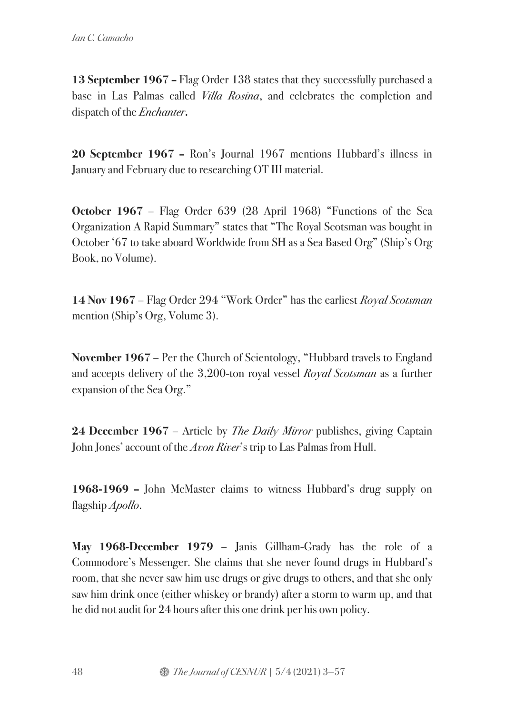**13 September 1967 –** Flag Order 138 states that they successfully purchased a base in Las Palmas called *Villa Rosina*, and celebrates the completion and dispatch of the *Enchanter***.**

**20 September 1967 –** Ron's Journal 1967 mentions Hubbard's illness in January and February due to researching OT III material.

**October 1967** – Flag Order 639 (28 April 1968) "Functions of the Sea Organization A Rapid Summary" states that "The Royal Scotsman was bought in October '67 to take aboard Worldwide from SH as a Sea Based Org" (Ship's Org Book, no Volume).

**14 Nov 1967** – Flag Order 294 "Work Order" has the earliest *Royal Scotsman* mention (Ship's Org, Volume 3).

**November 1967** – Per the Church of Scientology, "Hubbard travels to England and accepts delivery of the 3,200-ton royal vessel *Royal Scotsman* as a further expansion of the Sea Org."

**24 December 1967** – Article by *The Daily Mirror* publishes, giving Captain John Jones' account of the *Avon River*'s trip to Las Palmas from Hull.

**1968-1969 –** John McMaster claims to witness Hubbard's drug supply on flagship *Apollo*.

**May 1968-December 1979** – Janis Gillham-Grady has the role of a Commodore's Messenger. She claims that she never found drugs in Hubbard's room, that she never saw him use drugs or give drugs to others, and that she only saw him drink once (either whiskey or brandy) after a storm to warm up, and that he did not audit for 24 hours after this one drink per his own policy.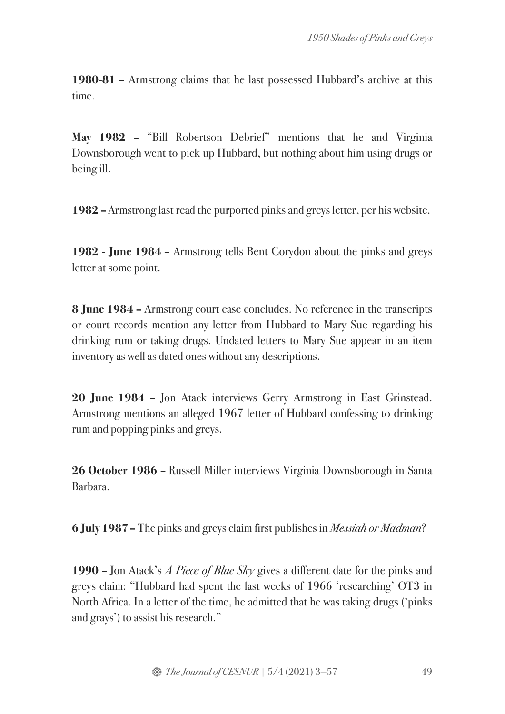**1980-81 –** Armstrong claims that he last possessed Hubbard's archive at this time.

**May 1982 –** "Bill Robertson Debrief" mentions that he and Virginia Downsborough went to pick up Hubbard, but nothing about him using drugs or being ill.

**1982 –** Armstrong last read the purported pinks and greys letter, per his website.

**1982 - June 1984 –** Armstrong tells Bent Corydon about the pinks and greys letter at some point.

**8 June 1984 –** Armstrong court case concludes. No reference in the transcripts or court records mention any letter from Hubbard to Mary Sue regarding his drinking rum or taking drugs. Undated letters to Mary Sue appear in an item inventory as well as dated ones without any descriptions.

**20 June 1984 –** Jon Atack interviews Gerry Armstrong in East Grinstead. Armstrong mentions an alleged 1967 letter of Hubbard confessing to drinking rum and popping pinks and greys.

**26 October 1986 –** Russell Miller interviews Virginia Downsborough in Santa Barbara.

**6 July 1987 –** The pinks and greys claim first publishes in *Messiah or Madman*?

**1990 –** Jon Atack's *A Piece of Blue Sky* gives a different date for the pinks and greys claim: "Hubbard had spent the last weeks of 1966 'researching' OT3 in North Africa. In a letter of the time, he admitted that he was taking drugs ('pinks and grays') to assist his research."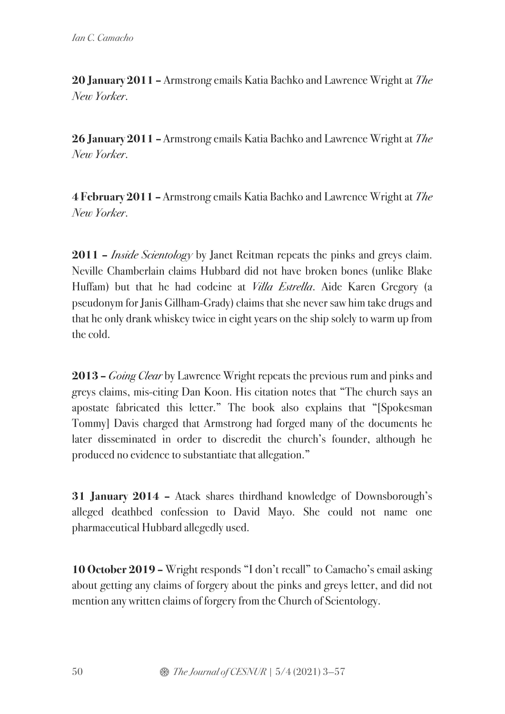**20 January 2011 –** Armstrong emails Katia Bachko and Lawrence Wright at *The New Yorker*.

**26 January 2011 –** Armstrong emails Katia Bachko and Lawrence Wright at *The New Yorker*.

**4 February 2011 –** Armstrong emails Katia Bachko and Lawrence Wright at *The New Yorker*.

**2011 –** *Inside Scientology* by Janet Reitman repeats the pinks and greys claim. Neville Chamberlain claims Hubbard did not have broken bones (unlike Blake Huffam) but that he had codeine at *Villa Estrella*. Aide Karen Gregory (a pseudonym for Janis Gillham-Grady) claims that she never saw him take drugs and that he only drank whiskey twice in eight years on the ship solely to warm up from the cold.

**2013 –** *Going Clear* by Lawrence Wright repeats the previous rum and pinks and greys claims, mis-citing Dan Koon. His citation notes that "The church says an apostate fabricated this letter." The book also explains that "[Spokesman Tommy] Davis charged that Armstrong had forged many of the documents he later disseminated in order to discredit the church's founder, although he produced no evidence to substantiate that allegation."

**31 January 2014 –** Atack shares thirdhand knowledge of Downsborough's alleged deathbed confession to David Mayo. She could not name one pharmaceutical Hubbard allegedly used.

**10 October 2019 –** Wright responds "I don't recall" to Camacho's email asking about getting any claims of forgery about the pinks and greys letter, and did not mention any written claims of forgery from the Church of Scientology.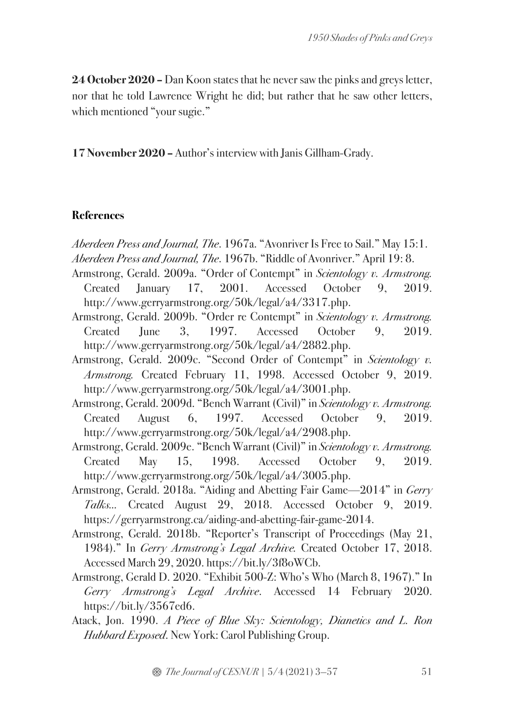**24 October 2020 –** Dan Koon states that he never saw the pinks and greys letter, nor that he told Lawrence Wright he did; but rather that he saw other letters, which mentioned "your sugie."

**17 November 2020 –** Author's interview with Janis Gillham-Grady.

### **References**

*Aberdeen Press and Journal, The*. 1967a. "Avonriver Is Free to Sail." May 15:1. *Aberdeen Press and Journal, The*. 1967b. "Riddle of Avonriver." April 19: 8.

- Armstrong, Gerald. 2009a. "Order of Contempt" in *Scientology v. Armstrong.* Created January 17, 2001. Accessed October 9, 2019. http://www.gerryarmstrong.org/50k/legal/a4/3317.php.
- Armstrong, Gerald. 2009b. "Order re Contempt" in *Scientology v. Armstrong.* Created June 3, 1997. Accessed October 9, 2019. http://www.gerryarmstrong.org/50k/legal/a4/2882.php.
- Armstrong, Gerald. 2009c. "Second Order of Contempt" in *Scientology v. Armstrong.* Created February 11, 1998. Accessed October 9, 2019. http://www.gerryarmstrong.org/50k/legal/a4/3001.php.
- Armstrong, Gerald. 2009d. "Bench Warrant (Civil)" in *Scientology v. Armstrong.* Created August 6, 1997. Accessed October 9, 2019. http://www.gerryarmstrong.org/50k/legal/a4/2908.php.
- Armstrong, Gerald. 2009e. "Bench Warrant (Civil)" in *Scientology v. Armstrong.* Created May 15, 1998. Accessed October 9, 2019. http://www.gerryarmstrong.org/50k/legal/a4/3005.php.
- Armstrong, Gerald. 2018a. "Aiding and Abetting Fair Game—2014" in *Gerry Talks…* Created August 29, 2018. Accessed October 9, 2019. https://gerryarmstrong.ca/aiding-and-abetting-fair-game-2014.
- Armstrong, Gerald. 2018b. "Reporter's Transcript of Proceedings (May 21, 1984)." In *Gerry Armstrong's Legal Archive.* Created October 17, 2018. Accessed March 29, 2020. https://bit.ly/3f8oWCb.
- Armstrong, Gerald D. 2020. "Exhibit 500-Z: Who's Who (March 8, 1967)." In *Gerry Armstrong's Legal Archive*. Accessed 14 February 2020. https://bit.ly/3567ed6.
- Atack, Jon. 1990. *A Piece of Blue Sky: Scientology, Dianetics and L. Ron Hubbard Exposed*. New York: Carol Publishing Group.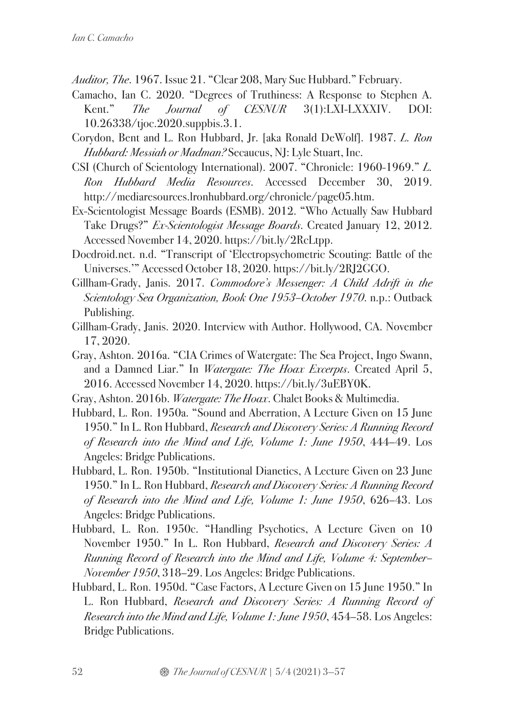*Auditor, The*. 1967. Issue 21. "Clear 208, Mary Sue Hubbard." February.

- Camacho, Ian C. 2020. "Degrees of Truthiness: A Response to Stephen A. Kent." *The Journal of CESNUR* 3(1):LXI-LXXXIV. DOI: 10.26338/tjoc.2020.suppbis.3.1.
- Corydon, Bent and L. Ron Hubbard, Jr. [aka Ronald DeWolf]. 1987. *L. Ron Hubbard: Messiah or Madman?* Secaucus, NJ: Lyle Stuart, Inc.
- CSI (Church of Scientology International). 2007. "Chronicle: 1960-1969." *L. Ron Hubbard Media Resources*. Accessed December 30, 2019. http://mediaresources.lronhubbard.org/chronicle/page05.htm.
- Ex-Scientologist Message Boards (ESMB). 2012. "Who Actually Saw Hubbard Take Drugs?" *Ex-Scientologist Message Boards*. Created January 12, 2012. Accessed November 14, 2020. https://bit.ly/2RcLtpp.
- Docdroid.net. n.d. "Transcript of 'Electropsychometric Scouting: Battle of the Universes.'" Accessed October 18, 2020. https://bit.ly/2RJ2GGO.
- Gillham-Grady, Janis. 2017. *Commodore's Messenger: A Child Adrift in the Scientology Sea Organization, Book One 1953–October 1970*. n.p.: Outback Publishing.
- Gillham-Grady, Janis. 2020. Interview with Author. Hollywood, CA. November 17, 2020.
- Gray, Ashton. 2016a. "CIA Crimes of Watergate: The Sea Project, Ingo Swann, and a Damned Liar." In *Watergate: The Hoax Excerpts*. Created April 5, 2016. Accessed November 14, 2020. https://bit.ly/3uEBY0K.
- Gray, Ashton. 2016b. *Watergate: The Hoax*. Chalet Books & Multimedia.
- Hubbard, L. Ron. 1950a. "Sound and Aberration, A Lecture Given on 15 June 1950." In L. Ron Hubbard, *Research and Discovery Series: A Running Record of Research into the Mind and Life, Volume 1: June 1950*, 444–49. Los Angeles: Bridge Publications.
- Hubbard, L. Ron. 1950b. "Institutional Dianetics, A Lecture Given on 23 June 1950." In L. Ron Hubbard, *Research and Discovery Series: A Running Record of Research into the Mind and Life, Volume 1: June 1950*, 626–43. Los Angeles: Bridge Publications.
- Hubbard, L. Ron. 1950c. "Handling Psychotics, A Lecture Given on 10 November 1950." In L. Ron Hubbard, *Research and Discovery Series: A Running Record of Research into the Mind and Life, Volume 4: September– November 1950*, 318–29. Los Angeles: Bridge Publications.
- Hubbard, L. Ron. 1950d. "Case Factors, A Lecture Given on 15 June 1950." In L. Ron Hubbard, *Research and Discovery Series: A Running Record of Research into the Mind and Life, Volume 1: June 1950*, 454–58. Los Angeles: Bridge Publications.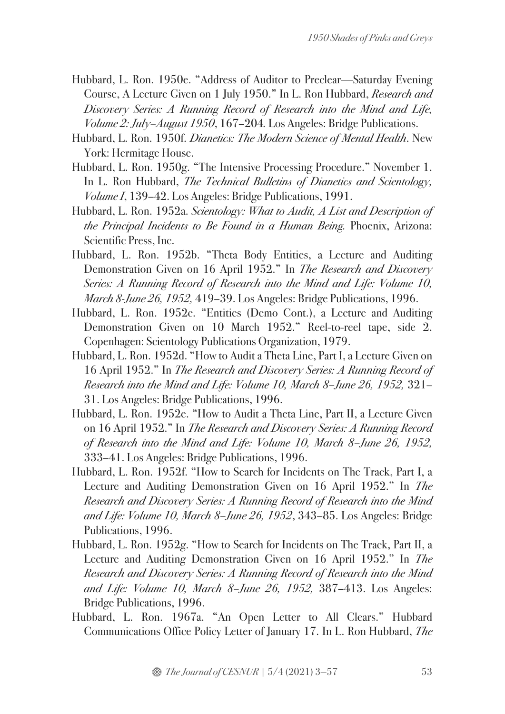- Hubbard, L. Ron. 1950e. "Address of Auditor to Preclear—Saturday Evening Course, A Lecture Given on 1 July 1950." In L. Ron Hubbard, *Research and Discovery Series: A Running Record of Research into the Mind and Life, Volume 2:July–August 1950*, 167–204*.* Los Angeles: Bridge Publications.
- Hubbard, L. Ron. 1950f. *Dianetics: The Modern Science of Mental Health*. New York: Hermitage House.
- Hubbard, L. Ron. 1950g. "The Intensive Processing Procedure." November 1. In L. Ron Hubbard, *The Technical Bulletins of Dianetics and Scientology, Volume I*, 139–42. Los Angeles: Bridge Publications, 1991.
- Hubbard, L. Ron. 1952a. *Scientology: What to Audit, A List and Description of the Principal Incidents to Be Found in a Human Being.* Phoenix, Arizona: Scientific Press, Inc.
- Hubbard, L. Ron. 1952b. "Theta Body Entities, a Lecture and Auditing Demonstration Given on 16 April 1952." In *The Research and Discovery Series: A Running Record of Research into the Mind and Life: Volume 10, March 8-June 26, 1952,* 419–39. Los Angeles: Bridge Publications, 1996.
- Hubbard, L. Ron. 1952c. "Entities (Demo Cont.), a Lecture and Auditing Demonstration Given on 10 March 1952." Reel-to-reel tape, side 2. Copenhagen: Scientology Publications Organization, 1979.
- Hubbard, L. Ron. 1952d. "How to Audit a Theta Line, Part I, a Lecture Given on 16 April 1952." In *The Research and Discovery Series: A Running Record of Research into the Mind and Life: Volume 10, March 8–June 26, 1952,* 321– 31. Los Angeles: Bridge Publications, 1996.
- Hubbard, L. Ron. 1952e. "How to Audit a Theta Line, Part II, a Lecture Given on 16 April 1952." In *The Research and Discovery Series: A Running Record of Research into the Mind and Life: Volume 10, March 8–June 26, 1952,* 333–41. Los Angeles: Bridge Publications, 1996.
- Hubbard, L. Ron. 1952f. "How to Search for Incidents on The Track, Part I, a Lecture and Auditing Demonstration Given on 16 April 1952." In *The Research and Discovery Series: A Running Record of Research into the Mind and Life: Volume 10, March 8–June 26, 1952*, 343–85. Los Angeles: Bridge Publications, 1996.
- Hubbard, L. Ron. 1952g. "How to Search for Incidents on The Track, Part II, a Lecture and Auditing Demonstration Given on 16 April 1952." In *The Research and Discovery Series: A Running Record of Research into the Mind and Life: Volume 10, March 8–June 26, 1952,* 387–413. Los Angeles: Bridge Publications, 1996.
- Hubbard, L. Ron. 1967a. "An Open Letter to All Clears." Hubbard Communications Office Policy Letter of January 17. In L. Ron Hubbard, *The*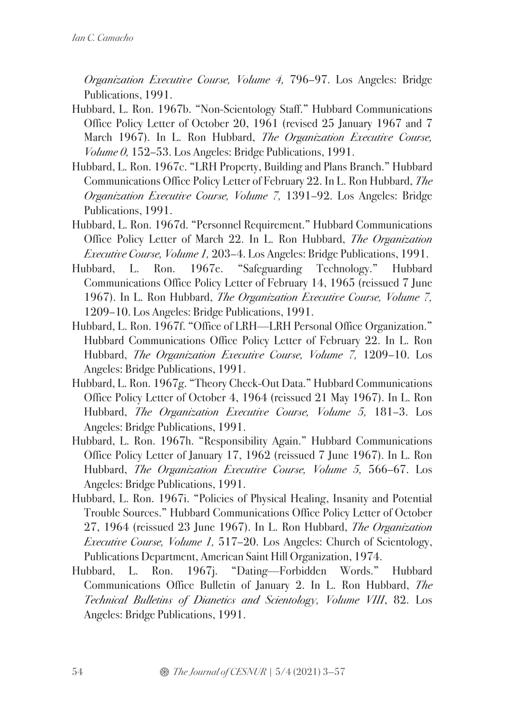*Organization Executive Course, Volume 4,* 796–97. Los Angeles: Bridge Publications, 1991.

- Hubbard, L. Ron. 1967b. "Non-Scientology Staff." Hubbard Communications Office Policy Letter of October 20, 1961 (revised 25 January 1967 and 7 March 1967). In L. Ron Hubbard, *The Organization Executive Course, Volume 0,* 152–53. Los Angeles: Bridge Publications, 1991.
- Hubbard, L. Ron. 1967c. "LRH Property, Building and Plans Branch." Hubbard Communications Office Policy Letter of February 22. In L. Ron Hubbard, *The Organization Executive Course, Volume 7,* 1391–92. Los Angeles: Bridge Publications, 1991.
- Hubbard, L. Ron. 1967d. "Personnel Requirement." Hubbard Communications Office Policy Letter of March 22. In L. Ron Hubbard, *The Organization Executive Course, Volume 1,* 203–4. Los Angeles: Bridge Publications, 1991.
- Hubbard, L. Ron. 1967e. "Safeguarding Technology." Hubbard Communications Office Policy Letter of February 14, 1965 (reissued 7 June 1967). In L. Ron Hubbard, *The Organization Executive Course, Volume 7,* 1209–10. Los Angeles: Bridge Publications, 1991.
- Hubbard, L. Ron. 1967f. "Office of LRH—LRH Personal Office Organization." Hubbard Communications Office Policy Letter of February 22. In L. Ron Hubbard, *The Organization Executive Course, Volume 7,* 1209–10. Los Angeles: Bridge Publications, 1991.
- Hubbard, L. Ron. 1967g. "Theory Check-Out Data." Hubbard Communications Office Policy Letter of October 4, 1964 (reissued 21 May 1967). In L. Ron Hubbard, *The Organization Executive Course, Volume 5,* 181–3. Los Angeles: Bridge Publications, 1991.
- Hubbard, L. Ron. 1967h. "Responsibility Again." Hubbard Communications Office Policy Letter of January 17, 1962 (reissued 7 June 1967). In L. Ron Hubbard, *The Organization Executive Course, Volume 5,* 566–67. Los Angeles: Bridge Publications, 1991.
- Hubbard, L. Ron. 1967i. "Policies of Physical Healing, Insanity and Potential Trouble Sources." Hubbard Communications Office Policy Letter of October 27, 1964 (reissued 23 June 1967). In L. Ron Hubbard, *The Organization Executive Course, Volume 1,* 517–20. Los Angeles: Church of Scientology, Publications Department, American Saint Hill Organization, 1974.
- Hubbard, L. Ron. 1967j. "Dating—Forbidden Words." Hubbard Communications Office Bulletin of January 2. In L. Ron Hubbard, *The Technical Bulletins of Dianetics and Scientology, Volume VIII*, 82. Los Angeles: Bridge Publications, 1991.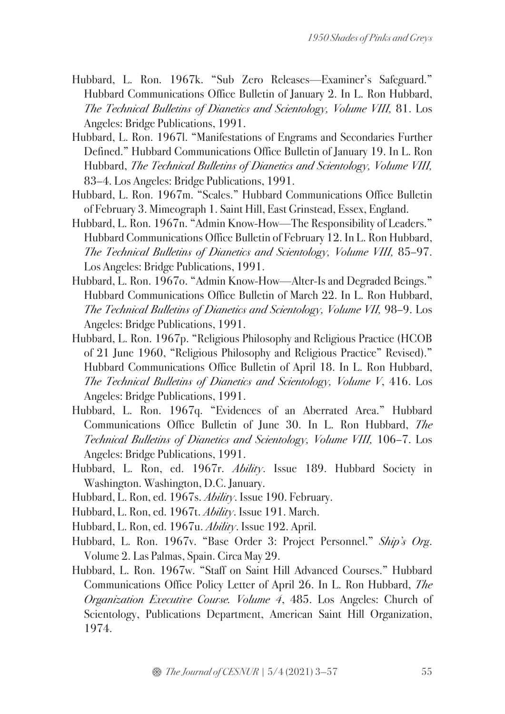- Hubbard, L. Ron. 1967k. "Sub Zero Releases—Examiner's Safeguard." Hubbard Communications Office Bulletin of January 2. In L. Ron Hubbard, *The Technical Bulletins of Dianetics and Scientology, Volume VIII,* 81. Los Angeles: Bridge Publications, 1991.
- Hubbard, L. Ron. 1967l. "Manifestations of Engrams and Secondaries Further Defined." Hubbard Communications Office Bulletin of January 19. In L. Ron Hubbard, *The Technical Bulletins of Dianetics and Scientology, Volume VIII,* 83–4. Los Angeles: Bridge Publications, 1991.
- Hubbard, L. Ron. 1967m. "Scales." Hubbard Communications Office Bulletin of February 3. Mimeograph 1. Saint Hill, East Grinstead, Essex, England.
- Hubbard, L. Ron. 1967n. "Admin Know-How—The Responsibility of Leaders." Hubbard Communications Office Bulletin of February 12. In L. Ron Hubbard, *The Technical Bulletins of Dianetics and Scientology, Volume VIII,* 85–97. Los Angeles: Bridge Publications, 1991.
- Hubbard, L. Ron. 1967o. "Admin Know-How—Alter-Is and Degraded Beings." Hubbard Communications Office Bulletin of March 22. In L. Ron Hubbard, *The Technical Bulletins of Dianetics and Scientology, Volume VII,* 98–9. Los Angeles: Bridge Publications, 1991.
- Hubbard, L. Ron. 1967p. "Religious Philosophy and Religious Practice (HCOB of 21 June 1960, "Religious Philosophy and Religious Practice" Revised)." Hubbard Communications Office Bulletin of April 18. In L. Ron Hubbard, *The Technical Bulletins of Dianetics and Scientology, Volume V*, 416. Los Angeles: Bridge Publications, 1991.
- Hubbard, L. Ron. 1967q. "Evidences of an Aberrated Area." Hubbard Communications Office Bulletin of June 30. In L. Ron Hubbard, *The Technical Bulletins of Dianetics and Scientology, Volume VIII,* 106–7. Los Angeles: Bridge Publications, 1991.
- Hubbard, L. Ron, ed. 1967r. *Ability*. Issue 189. Hubbard Society in Washington. Washington, D.C. January.
- Hubbard, L. Ron, ed. 1967s. *Ability*. Issue 190. February.
- Hubbard, L. Ron, ed. 1967t. *Ability*. Issue 191. March.
- Hubbard, L. Ron, ed. 1967u. *Ability*. Issue 192. April.
- Hubbard, L. Ron. 1967v. "Base Order 3: Project Personnel." *Ship's Org*. Volume 2. Las Palmas, Spain. Circa May 29.
- Hubbard, L. Ron. 1967w. "Staff on Saint Hill Advanced Courses." Hubbard Communications Office Policy Letter of April 26. In L. Ron Hubbard, *The Organization Executive Course. Volume 4*, 485. Los Angeles: Church of Scientology, Publications Department, American Saint Hill Organization, 1974.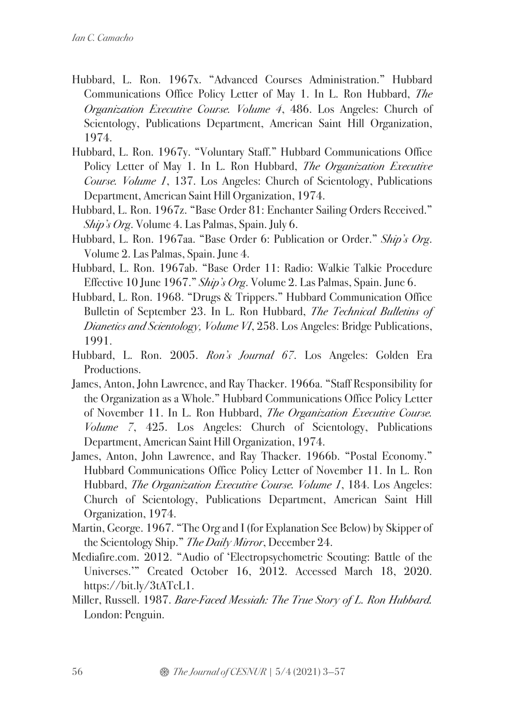- Hubbard, L. Ron. 1967x. "Advanced Courses Administration." Hubbard Communications Office Policy Letter of May 1. In L. Ron Hubbard, *The Organization Executive Course. Volume 4*, 486. Los Angeles: Church of Scientology, Publications Department, American Saint Hill Organization, 1974.
- Hubbard, L. Ron. 1967y. "Voluntary Staff." Hubbard Communications Office Policy Letter of May 1. In L. Ron Hubbard, *The Organization Executive Course. Volume 1*, 137. Los Angeles: Church of Scientology, Publications Department, American Saint Hill Organization, 1974.
- Hubbard, L. Ron. 1967z. "Base Order 81: Enchanter Sailing Orders Received." *Ship's Org*. Volume 4. Las Palmas, Spain. July 6.
- Hubbard, L. Ron. 1967aa. "Base Order 6: Publication or Order." *Ship's Org*. Volume 2. Las Palmas, Spain. June 4.
- Hubbard, L. Ron. 1967ab. "Base Order 11: Radio: Walkie Talkie Procedure Effective 10 June 1967." *Ship's Org*. Volume 2. Las Palmas, Spain. June 6.
- Hubbard, L. Ron. 1968. "Drugs & Trippers." Hubbard Communication Office Bulletin of September 23. In L. Ron Hubbard, *The Technical Bulletins of Dianetics and Scientology, Volume VI*, 258. Los Angeles: Bridge Publications, 1991.
- Hubbard, L. Ron. 2005. *Ron's Journal 67*. Los Angeles: Golden Era Productions.
- James, Anton, John Lawrence, and Ray Thacker. 1966a. "Staff Responsibility for the Organization as a Whole." Hubbard Communications Office Policy Letter of November 11. In L. Ron Hubbard, *The Organization Executive Course. Volume 7*, 425. Los Angeles: Church of Scientology, Publications Department, American Saint Hill Organization, 1974.
- James, Anton, John Lawrence, and Ray Thacker. 1966b. "Postal Economy." Hubbard Communications Office Policy Letter of November 11. In L. Ron Hubbard, *The Organization Executive Course. Volume 1*, 184. Los Angeles: Church of Scientology, Publications Department, American Saint Hill Organization, 1974.
- Martin, George. 1967. "The Org and I (for Explanation See Below) by Skipper of the Scientology Ship." *The Daily Mirror*, December 24.
- Mediafire.com. 2012. "Audio of 'Electropsychometric Scouting: Battle of the Universes.'" Created October 16, 2012. Accessed March 18, 2020. https://bit.ly/3tATcL1.
- Miller, Russell. 1987. *Bare-Faced Messiah: The True Story of L. Ron Hubbard.* London: Penguin.